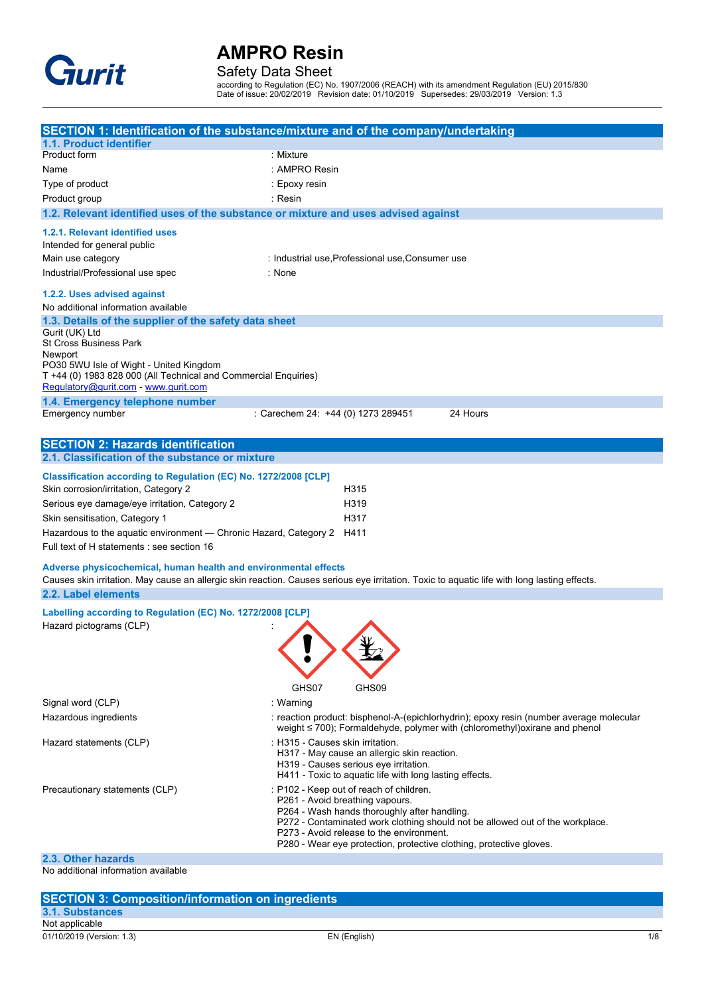

### Safety Data Sheet

according to Regulation (EC) No. 1907/2006 (REACH) with its amendment Regulation (EU) 2015/830 Date of issue: 20/02/2019 Revision date: 01/10/2019 Supersedes: 29/03/2019 Version: 1.3

|                                                                                                                                                                                                                  | SECTION 1: Identification of the substance/mixture and of the company/undertaking                                                                                                                                                                                                                                              |
|------------------------------------------------------------------------------------------------------------------------------------------------------------------------------------------------------------------|--------------------------------------------------------------------------------------------------------------------------------------------------------------------------------------------------------------------------------------------------------------------------------------------------------------------------------|
| 1.1. Product identifier                                                                                                                                                                                          |                                                                                                                                                                                                                                                                                                                                |
| Product form                                                                                                                                                                                                     | : Mixture                                                                                                                                                                                                                                                                                                                      |
| Name                                                                                                                                                                                                             | : AMPRO Resin                                                                                                                                                                                                                                                                                                                  |
| Type of product                                                                                                                                                                                                  | : Epoxy resin                                                                                                                                                                                                                                                                                                                  |
| Product group                                                                                                                                                                                                    | : Resin                                                                                                                                                                                                                                                                                                                        |
| 1.2. Relevant identified uses of the substance or mixture and uses advised against                                                                                                                               |                                                                                                                                                                                                                                                                                                                                |
| 1.2.1. Relevant identified uses                                                                                                                                                                                  |                                                                                                                                                                                                                                                                                                                                |
| Intended for general public                                                                                                                                                                                      |                                                                                                                                                                                                                                                                                                                                |
| Main use category                                                                                                                                                                                                | : Industrial use, Professional use, Consumer use                                                                                                                                                                                                                                                                               |
| Industrial/Professional use spec                                                                                                                                                                                 | : None                                                                                                                                                                                                                                                                                                                         |
| 1.2.2. Uses advised against                                                                                                                                                                                      |                                                                                                                                                                                                                                                                                                                                |
| No additional information available                                                                                                                                                                              |                                                                                                                                                                                                                                                                                                                                |
| 1.3. Details of the supplier of the safety data sheet                                                                                                                                                            |                                                                                                                                                                                                                                                                                                                                |
| Gurit (UK) Ltd<br><b>St Cross Business Park</b><br>Newport<br>PO30 5WU Isle of Wight - United Kingdom<br>T +44 (0) 1983 828 000 (All Technical and Commercial Enquiries)<br>Regulatory@gurit.com - www.gurit.com |                                                                                                                                                                                                                                                                                                                                |
| 1.4. Emergency telephone number                                                                                                                                                                                  |                                                                                                                                                                                                                                                                                                                                |
| Emergency number                                                                                                                                                                                                 | : Carechem 24: +44 (0) 1273 289451<br>24 Hours                                                                                                                                                                                                                                                                                 |
|                                                                                                                                                                                                                  |                                                                                                                                                                                                                                                                                                                                |
| <b>SECTION 2: Hazards identification</b>                                                                                                                                                                         |                                                                                                                                                                                                                                                                                                                                |
| 2.1. Classification of the substance or mixture                                                                                                                                                                  |                                                                                                                                                                                                                                                                                                                                |
| Classification according to Regulation (EC) No. 1272/2008 [CLP]<br>Skin corrosion/irritation, Category 2                                                                                                         | H <sub>315</sub>                                                                                                                                                                                                                                                                                                               |
| Serious eye damage/eye irritation, Category 2                                                                                                                                                                    | H319                                                                                                                                                                                                                                                                                                                           |
| Skin sensitisation, Category 1                                                                                                                                                                                   | H317                                                                                                                                                                                                                                                                                                                           |
| Hazardous to the aquatic environment — Chronic Hazard, Category 2                                                                                                                                                | H411                                                                                                                                                                                                                                                                                                                           |
| Full text of H statements : see section 16                                                                                                                                                                       |                                                                                                                                                                                                                                                                                                                                |
| Adverse physicochemical, human health and environmental effects                                                                                                                                                  | Causes skin irritation. May cause an allergic skin reaction. Causes serious eye irritation. Toxic to aquatic life with long lasting effects.                                                                                                                                                                                   |
| 2.2. Label elements                                                                                                                                                                                              |                                                                                                                                                                                                                                                                                                                                |
|                                                                                                                                                                                                                  |                                                                                                                                                                                                                                                                                                                                |
| Labelling according to Regulation (EC) No. 1272/2008 [CLP]<br>Hazard pictograms (CLP)                                                                                                                            | GHS07<br>GHS09                                                                                                                                                                                                                                                                                                                 |
| Signal word (CLP)                                                                                                                                                                                                | : Warning                                                                                                                                                                                                                                                                                                                      |
| Hazardous ingredients                                                                                                                                                                                            | : reaction product: bisphenol-A-(epichlorhydrin); epoxy resin (number average molecular<br>weight ≤ 700); Formaldehyde, polymer with (chloromethyl)oxirane and phenol                                                                                                                                                          |
| Hazard statements (CLP)                                                                                                                                                                                          | : H315 - Causes skin irritation.<br>H317 - May cause an allergic skin reaction.<br>H319 - Causes serious eye irritation.<br>H411 - Toxic to aquatic life with long lasting effects.                                                                                                                                            |
| Precautionary statements (CLP)                                                                                                                                                                                   | : P102 - Keep out of reach of children.<br>P261 - Avoid breathing vapours.<br>P264 - Wash hands thoroughly after handling.<br>P272 - Contaminated work clothing should not be allowed out of the workplace.<br>P273 - Avoid release to the environment.<br>P280 - Wear eye protection, protective clothing, protective gloves. |
| 2.3. Other hazards                                                                                                                                                                                               |                                                                                                                                                                                                                                                                                                                                |

| <b>SECTION 3: Composition/information on ingredients</b> |              |     |
|----------------------------------------------------------|--------------|-----|
| 3.1. Substances                                          |              |     |
| Not applicable                                           |              |     |
| 01/10/2019 (Version: 1.3)                                | EN (English) | 1/8 |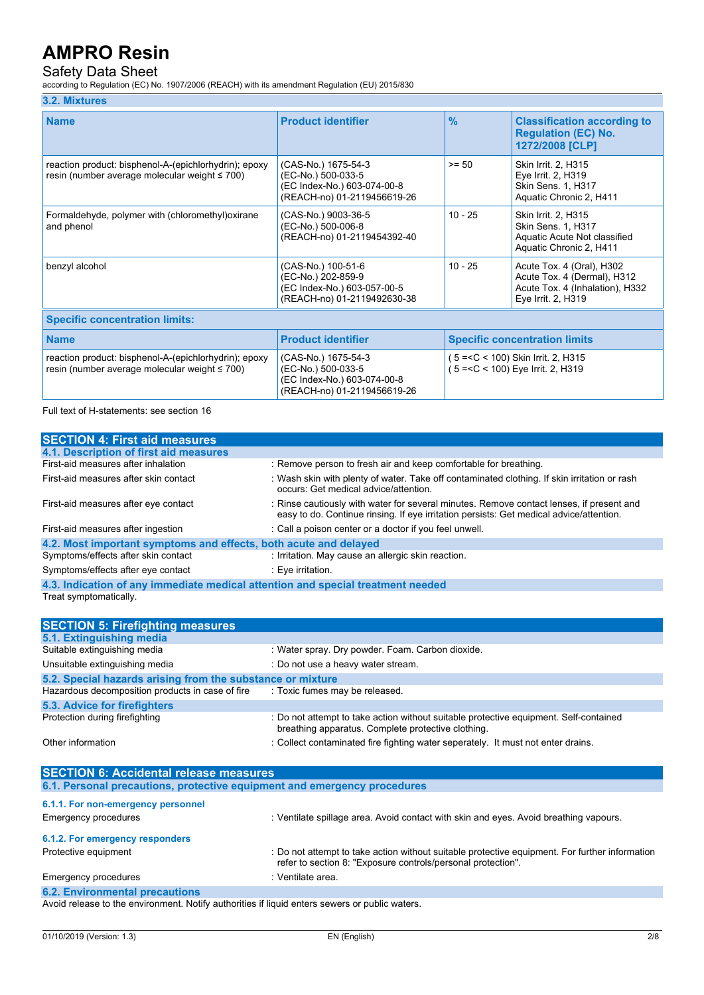### Safety Data Sheet

according to Regulation (EC) No. 1907/2006 (REACH) with its amendment Regulation (EU) 2015/830

#### **3.2. Mixtures**

| <b>Name</b>                                                                                                  | <b>Product identifier</b>                                                                               | $\frac{9}{6}$                                                                 | <b>Classification according to</b><br><b>Regulation (EC) No.</b><br>1272/2008 [CLP]                               |  |
|--------------------------------------------------------------------------------------------------------------|---------------------------------------------------------------------------------------------------------|-------------------------------------------------------------------------------|-------------------------------------------------------------------------------------------------------------------|--|
| reaction product: bisphenol-A-(epichlorhydrin); epoxy<br>resin (number average molecular weight $\leq 700$ ) | (CAS-No.) 1675-54-3<br>(EC-No.) 500-033-5<br>(EC Index-No.) 603-074-00-8<br>(REACH-no) 01-2119456619-26 | $>= 50$                                                                       | Skin Irrit. 2, H315<br>Eye Irrit. 2, H319<br>Skin Sens. 1, H317<br>Aquatic Chronic 2, H411                        |  |
| Formaldehyde, polymer with (chloromethyl) oxirane<br>and phenol                                              | (CAS-No.) 9003-36-5<br>(EC-No.) 500-006-8<br>(REACH-no) 01-2119454392-40                                | $10 - 25$                                                                     | Skin Irrit. 2. H315<br>Skin Sens. 1, H317<br>Aquatic Acute Not classified<br>Aquatic Chronic 2, H411              |  |
| benzyl alcohol                                                                                               | (CAS-No.) 100-51-6<br>(EC-No.) 202-859-9<br>(EC Index-No.) 603-057-00-5<br>(REACH-no) 01-2119492630-38  | $10 - 25$                                                                     | Acute Tox. 4 (Oral), H302<br>Acute Tox. 4 (Dermal), H312<br>Acute Tox. 4 (Inhalation), H332<br>Eye Irrit. 2, H319 |  |
| <b>Specific concentration limits:</b>                                                                        |                                                                                                         |                                                                               |                                                                                                                   |  |
| <b>Name</b>                                                                                                  | <b>Product identifier</b>                                                                               | <b>Specific concentration limits</b>                                          |                                                                                                                   |  |
| reaction product: bisphenol-A-(epichlorhydrin); epoxy<br>resin (number average molecular weight $\leq 700$ ) | (CAS-No.) 1675-54-3<br>(EC-No.) 500-033-5<br>(EC Index-No.) 603-074-00-8                                | $5 = < C < 100$ ) Skin Irrit. 2, H315<br>$5 = < C < 100$ ) Eye Irrit. 2, H319 |                                                                                                                   |  |

Full text of H-statements: see section 16

| <b>SECTION 4: First aid measures</b>                                            |                                                                                                                                                                                     |
|---------------------------------------------------------------------------------|-------------------------------------------------------------------------------------------------------------------------------------------------------------------------------------|
| 4.1. Description of first aid measures                                          |                                                                                                                                                                                     |
| First-aid measures after inhalation                                             | : Remove person to fresh air and keep comfortable for breathing.                                                                                                                    |
| First-aid measures after skin contact                                           | : Wash skin with plenty of water. Take off contaminated clothing. If skin irritation or rash<br>occurs: Get medical advice/attention.                                               |
| First-aid measures after eye contact                                            | : Rinse cautiously with water for several minutes. Remove contact lenses, if present and<br>easy to do. Continue rinsing. If eye irritation persists: Get medical advice/attention. |
| First-aid measures after ingestion                                              | : Call a poison center or a doctor if you feel unwell.                                                                                                                              |
| 4.2. Most important symptoms and effects, both acute and delayed                |                                                                                                                                                                                     |
| Symptoms/effects after skin contact                                             | : Irritation. May cause an allergic skin reaction.                                                                                                                                  |
| Symptoms/effects after eye contact                                              | : Eve irritation.                                                                                                                                                                   |
| 4.3. Indication of any immediate medical attention and special treatment needed |                                                                                                                                                                                     |

(REACH-no) 01-2119456619-26

Treat symptomatically.

| <b>SECTION 5: Firefighting measures</b>                    |                                                                                                                                             |
|------------------------------------------------------------|---------------------------------------------------------------------------------------------------------------------------------------------|
| 5.1. Extinguishing media                                   |                                                                                                                                             |
| Suitable extinguishing media                               | : Water spray. Dry powder. Foam. Carbon dioxide.                                                                                            |
| Unsuitable extinguishing media                             | : Do not use a heavy water stream.                                                                                                          |
| 5.2. Special hazards arising from the substance or mixture |                                                                                                                                             |
| Hazardous decomposition products in case of fire           | : Toxic fumes may be released.                                                                                                              |
| 5.3. Advice for firefighters                               |                                                                                                                                             |
| Protection during firefighting                             | : Do not attempt to take action without suitable protective equipment. Self-contained<br>breathing apparatus. Complete protective clothing. |
| Other information                                          | : Collect contaminated fire fighting water seperately. It must not enter drains.                                                            |

| <b>SECTION 6: Accidental release measures</b>                                                                         |                                                                                                                                                                |
|-----------------------------------------------------------------------------------------------------------------------|----------------------------------------------------------------------------------------------------------------------------------------------------------------|
| 6.1. Personal precautions, protective equipment and emergency procedures                                              |                                                                                                                                                                |
| 6.1.1. For non-emergency personnel                                                                                    |                                                                                                                                                                |
| Emergency procedures                                                                                                  | : Ventilate spillage area. Avoid contact with skin and eyes. Avoid breathing vapours.                                                                          |
| 6.1.2. For emergency responders                                                                                       |                                                                                                                                                                |
| Protective equipment                                                                                                  | : Do not attempt to take action without suitable protective equipment. For further information<br>refer to section 8: "Exposure controls/personal protection". |
| Emergency procedures                                                                                                  | : Ventilate area.                                                                                                                                              |
| <b>6.2. Environmental precautions</b>                                                                                 |                                                                                                                                                                |
| Acceld with a result in the computation in All-MC computation of Result in a reason of computation in the computation |                                                                                                                                                                |

Avoid release to the environment. Notify authorities if liquid enters sewers or public waters.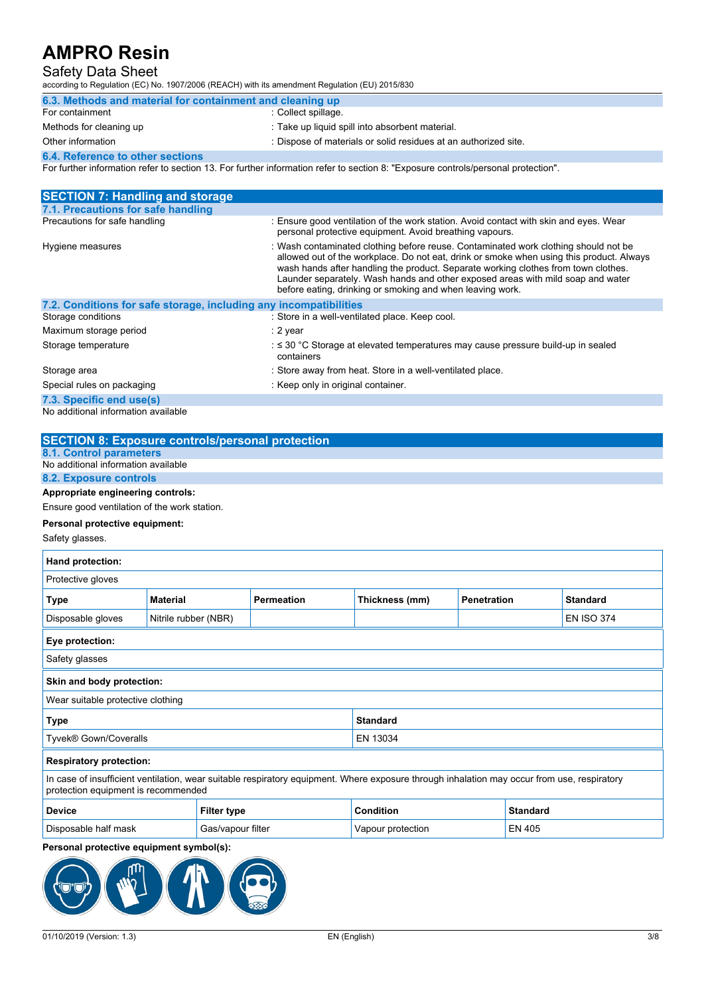### Safety Data Sheet

according to Regulation (EC) No. 1907/2006 (REACH) with its amendment Regulation (EU) 2015/830

| 6.3. Methods and material for containment and cleaning up |                                                                 |  |  |
|-----------------------------------------------------------|-----------------------------------------------------------------|--|--|
| For containment                                           | : Collect spillage.                                             |  |  |
| Methods for cleaning up                                   | : Take up liquid spill into absorbent material.                 |  |  |
| Other information                                         | : Dispose of materials or solid residues at an authorized site. |  |  |
| <b>6.4. Reference to other sections</b>                   |                                                                 |  |  |

For further information refer to section 13. For further information refer to section 8: "Exposure controls/personal protection".

| <b>SECTION 7: Handling and storage</b>                            |                                                                                                                                                                                                                                                                                                                                                                                                                       |
|-------------------------------------------------------------------|-----------------------------------------------------------------------------------------------------------------------------------------------------------------------------------------------------------------------------------------------------------------------------------------------------------------------------------------------------------------------------------------------------------------------|
| 7.1. Precautions for safe handling                                |                                                                                                                                                                                                                                                                                                                                                                                                                       |
| Precautions for safe handling                                     | : Ensure good ventilation of the work station. Avoid contact with skin and eyes. Wear<br>personal protective equipment. Avoid breathing vapours.                                                                                                                                                                                                                                                                      |
| Hygiene measures                                                  | : Wash contaminated clothing before reuse. Contaminated work clothing should not be<br>allowed out of the workplace. Do not eat, drink or smoke when using this product. Always<br>wash hands after handling the product. Separate working clothes from town clothes.<br>Launder separately. Wash hands and other exposed areas with mild soap and water<br>before eating, drinking or smoking and when leaving work. |
| 7.2. Conditions for safe storage, including any incompatibilities |                                                                                                                                                                                                                                                                                                                                                                                                                       |
| Storage conditions                                                | : Store in a well-ventilated place. Keep cool.                                                                                                                                                                                                                                                                                                                                                                        |
| Maximum storage period                                            | : 2 year                                                                                                                                                                                                                                                                                                                                                                                                              |
| Storage temperature                                               | $\therefore$ $\leq$ 30 °C Storage at elevated temperatures may cause pressure build-up in sealed<br>containers                                                                                                                                                                                                                                                                                                        |
| Storage area                                                      | : Store away from heat. Store in a well-ventilated place.                                                                                                                                                                                                                                                                                                                                                             |
| Special rules on packaging                                        | : Keep only in original container.                                                                                                                                                                                                                                                                                                                                                                                    |
| 7.3. Specific end use(s)                                          |                                                                                                                                                                                                                                                                                                                                                                                                                       |
| No additional information available                               |                                                                                                                                                                                                                                                                                                                                                                                                                       |

| <b>SECTION 8: Exposure controls/personal protection</b> |
|---------------------------------------------------------|
| 8.1. Control parameters                                 |
| No additional information available                     |
| 8.2. Exposure controls                                  |
| Appropriate engineering controls:                       |

Ensure good ventilation of the work station.

#### **Personal protective equipment:**

Safety glasses.

| Hand protection:                                                                                                                                                                   |                      |                   |                                                         |  |        |                   |  |
|------------------------------------------------------------------------------------------------------------------------------------------------------------------------------------|----------------------|-------------------|---------------------------------------------------------|--|--------|-------------------|--|
| Protective gloves                                                                                                                                                                  |                      |                   |                                                         |  |        |                   |  |
| <b>Type</b>                                                                                                                                                                        | <b>Material</b>      | <b>Permeation</b> | Thickness (mm)<br><b>Penetration</b><br><b>Standard</b> |  |        |                   |  |
| Disposable gloves                                                                                                                                                                  | Nitrile rubber (NBR) |                   |                                                         |  |        | <b>EN ISO 374</b> |  |
| Eye protection:                                                                                                                                                                    |                      |                   |                                                         |  |        |                   |  |
| Safety glasses                                                                                                                                                                     |                      |                   |                                                         |  |        |                   |  |
| Skin and body protection:                                                                                                                                                          |                      |                   |                                                         |  |        |                   |  |
| Wear suitable protective clothing                                                                                                                                                  |                      |                   |                                                         |  |        |                   |  |
| <b>Standard</b><br>Type                                                                                                                                                            |                      |                   |                                                         |  |        |                   |  |
| Tyvek® Gown/Coveralls                                                                                                                                                              | EN 13034             |                   |                                                         |  |        |                   |  |
| <b>Respiratory protection:</b>                                                                                                                                                     |                      |                   |                                                         |  |        |                   |  |
| In case of insufficient ventilation, wear suitable respiratory equipment. Where exposure through inhalation may occur from use, respiratory<br>protection equipment is recommended |                      |                   |                                                         |  |        |                   |  |
| <b>Device</b>                                                                                                                                                                      | <b>Filter type</b>   |                   | <b>Condition</b><br><b>Standard</b>                     |  |        |                   |  |
| Disposable half mask                                                                                                                                                               | Gas/vapour filter    |                   | Vapour protection                                       |  | EN 405 |                   |  |

### **Personal protective equipment symbol(s):**

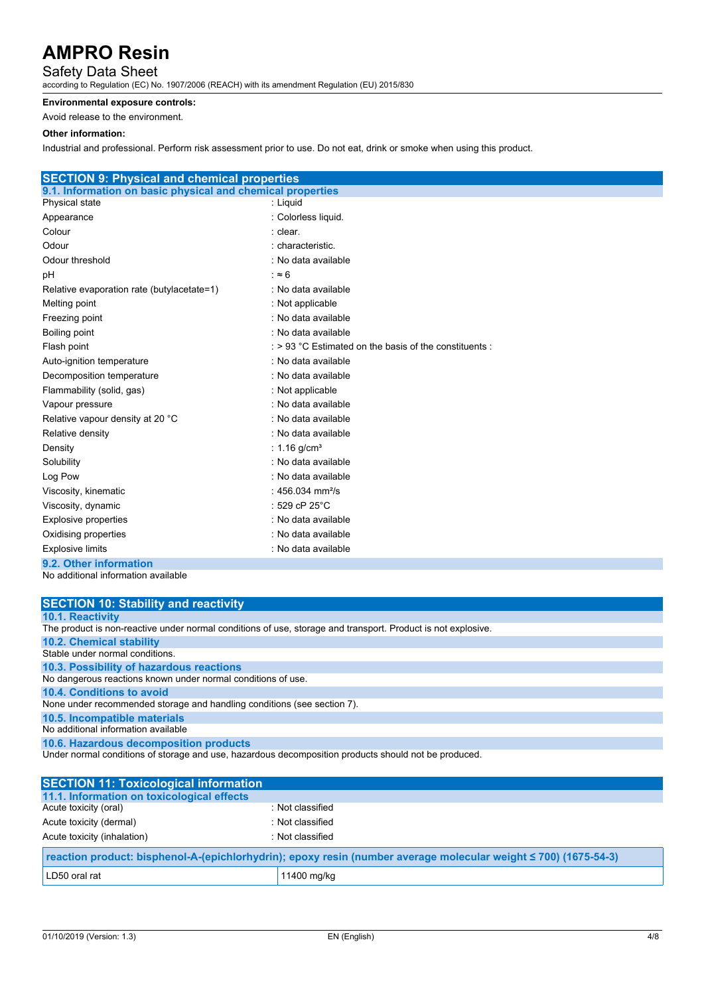### Safety Data Sheet

according to Regulation (EC) No. 1907/2006 (REACH) with its amendment Regulation (EU) 2015/830

#### **Environmental exposure controls:**

Avoid release to the environment.

#### **Other information:**

Industrial and professional. Perform risk assessment prior to use. Do not eat, drink or smoke when using this product.

| <b>SECTION 9: Physical and chemical properties</b>         |                                                       |
|------------------------------------------------------------|-------------------------------------------------------|
| 9.1. Information on basic physical and chemical properties |                                                       |
| Physical state                                             | : Liquid                                              |
| Appearance                                                 | : Colorless liquid.                                   |
| Colour                                                     | : clear.                                              |
| Odour                                                      | : characteristic.                                     |
| Odour threshold                                            | : No data available                                   |
| рH                                                         | : $\approx 6$                                         |
| Relative evaporation rate (butylacetate=1)                 | : No data available                                   |
| Melting point                                              | : Not applicable                                      |
| Freezing point                                             | : No data available                                   |
| Boiling point                                              | : No data available                                   |
| Flash point                                                | : > 93 °C Estimated on the basis of the constituents: |
| Auto-ignition temperature                                  | : No data available                                   |
| Decomposition temperature                                  | : No data available                                   |
| Flammability (solid, gas)                                  | : Not applicable                                      |
| Vapour pressure                                            | : No data available                                   |
| Relative vapour density at 20 °C                           | : No data available                                   |
| Relative density                                           | : No data available                                   |
| Density                                                    | : 1.16 $q/cm^{3}$                                     |
| Solubility                                                 | : No data available                                   |
| Log Pow                                                    | : No data available                                   |
| Viscosity, kinematic                                       | : 456.034 mm <sup>2</sup> /s                          |
| Viscosity, dynamic                                         | : 529 cP $25^{\circ}$ C                               |
| Explosive properties                                       | : No data available                                   |
| Oxidising properties                                       | : No data available                                   |
| <b>Explosive limits</b>                                    | : No data available                                   |
| 9.2. Other information                                     |                                                       |

| <b>SECTION 10: Stability and reactivity</b>                                                                  |
|--------------------------------------------------------------------------------------------------------------|
| <b>10.1. Reactivity</b>                                                                                      |
| The product is non-reactive under normal conditions of use, storage and transport. Product is not explosive. |
| <b>10.2. Chemical stability</b>                                                                              |
| Stable under normal conditions.                                                                              |
| 10.3. Possibility of hazardous reactions                                                                     |
| No dangerous reactions known under normal conditions of use.                                                 |
| 10.4. Conditions to avoid                                                                                    |
| None under recommended storage and handling conditions (see section 7).                                      |
| 10.5. Incompatible materials                                                                                 |
| No additional information available                                                                          |
| 10.6. Hazardous decomposition products                                                                       |
| Under normal conditions of storage and use, hazardous decomposition products should not be produced.         |
|                                                                                                              |
| <b>SECTION 11: Toxicological information</b>                                                                 |

| <b>ULUTTURE ITALIANOVIOGIUMI IIIIUI IIIUIIUI</b>                                                                |                  |  |  |
|-----------------------------------------------------------------------------------------------------------------|------------------|--|--|
| 11.1. Information on toxicological effects                                                                      |                  |  |  |
| Acute toxicity (oral)                                                                                           | : Not classified |  |  |
| Acute toxicity (dermal)                                                                                         | : Not classified |  |  |
| Acute toxicity (inhalation)                                                                                     | : Not classified |  |  |
| reaction product: bisphenol-A-(epichlorhydrin); epoxy resin (number average molecular weight ≤ 700) (1675-54-3) |                  |  |  |
| LD50 oral rat                                                                                                   | 11400 mg/kg      |  |  |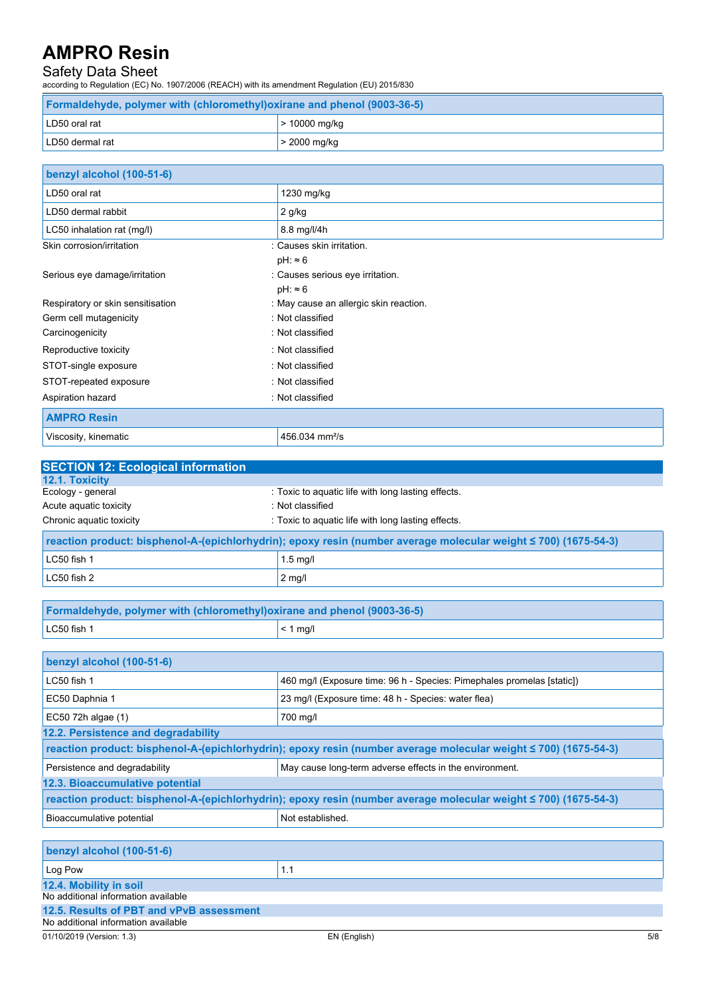### Safety Data Sheet

according to Regulation (EC) No. 1907/2006 (REACH) with its amendment Regulation (EU) 2015/830

| <b>Formaldehyde, polymer with (chloromethyl) oxirane and phenol (9003-36-5)</b> |                 |  |
|---------------------------------------------------------------------------------|-----------------|--|
| LD50 oral rat                                                                   | $> 10000$ mg/kg |  |
| LD50 dermal rat                                                                 | $>$ 2000 mg/kg  |  |

| benzyl alcohol (100-51-6)         |                                        |
|-----------------------------------|----------------------------------------|
| LD50 oral rat                     | 1230 mg/kg                             |
| LD50 dermal rabbit                | $2$ g/kg                               |
| LC50 inhalation rat (mg/l)        | 8.8 mg/l/4h                            |
| Skin corrosion/irritation         | : Causes skin irritation.              |
|                                   | $pH: \approx 6$                        |
| Serious eye damage/irritation     | : Causes serious eye irritation.       |
|                                   | $pH: \approx 6$                        |
| Respiratory or skin sensitisation | : May cause an allergic skin reaction. |
| Germ cell mutagenicity            | : Not classified                       |
| Carcinogenicity                   | : Not classified                       |
| Reproductive toxicity             | : Not classified                       |
| STOT-single exposure              | : Not classified                       |
| STOT-repeated exposure            | : Not classified                       |
| Aspiration hazard                 | : Not classified                       |
| <b>AMPRO Resin</b>                |                                        |
| Viscosity, kinematic              | 456.034 mm <sup>2</sup> /s             |

| <b>SECTION 12: Ecological information</b>                                |                                                                                                                 |  |  |
|--------------------------------------------------------------------------|-----------------------------------------------------------------------------------------------------------------|--|--|
| 12.1. Toxicity                                                           |                                                                                                                 |  |  |
| Ecology - general                                                        | : Toxic to aquatic life with long lasting effects.                                                              |  |  |
| Acute aquatic toxicity                                                   | : Not classified                                                                                                |  |  |
| Chronic aquatic toxicity                                                 | : Toxic to aquatic life with long lasting effects.                                                              |  |  |
|                                                                          | reaction product: bisphenol-A-(epichlorhydrin); epoxy resin (number average molecular weight ≤ 700) (1675-54-3) |  |  |
| LC50 fish 1                                                              | $1.5$ mg/l                                                                                                      |  |  |
| LC50 fish 2                                                              | $2$ mg/l                                                                                                        |  |  |
|                                                                          |                                                                                                                 |  |  |
| Formaldehyde, polymer with (chloromethyl) oxirane and phenol (9003-36-5) |                                                                                                                 |  |  |
| LC50 fish 1                                                              | $< 1$ mg/l                                                                                                      |  |  |
|                                                                          |                                                                                                                 |  |  |
| benzyl alcohol (100-51-6)                                                |                                                                                                                 |  |  |
| LC50 fish 1                                                              | 460 mg/l (Exposure time: 96 h - Species: Pimephales promelas [static])                                          |  |  |
| EC50 Daphnia 1                                                           | 23 mg/l (Exposure time: 48 h - Species: water flea)                                                             |  |  |
| EC50 72h algae (1)                                                       | 700 mg/l                                                                                                        |  |  |
| 12.2. Persistence and degradability                                      |                                                                                                                 |  |  |
|                                                                          |                                                                                                                 |  |  |

| reaction product: bisphenol-A-(epichlorhydrin); epoxy resin (number average molecular weight ≤ 700) (1675-54-3) |  |  |  |
|-----------------------------------------------------------------------------------------------------------------|--|--|--|
| Persistence and degradability<br>May cause long-term adverse effects in the environment.                        |  |  |  |
| 12.3. Bioaccumulative potential                                                                                 |  |  |  |
| reaction product: bisphenol-A-(epichlorhydrin); epoxy resin (number average molecular weight ≤ 700) (1675-54-3) |  |  |  |
| Bioaccumulative potential<br>Not established.                                                                   |  |  |  |

| benzyl alcohol (100-51-6)                |     |  |
|------------------------------------------|-----|--|
| Log Pow                                  | 1.1 |  |
| 12.4. Mobility in soil                   |     |  |
| No additional information available      |     |  |
| 12.5. Results of PBT and vPvB assessment |     |  |
| No additional information available      |     |  |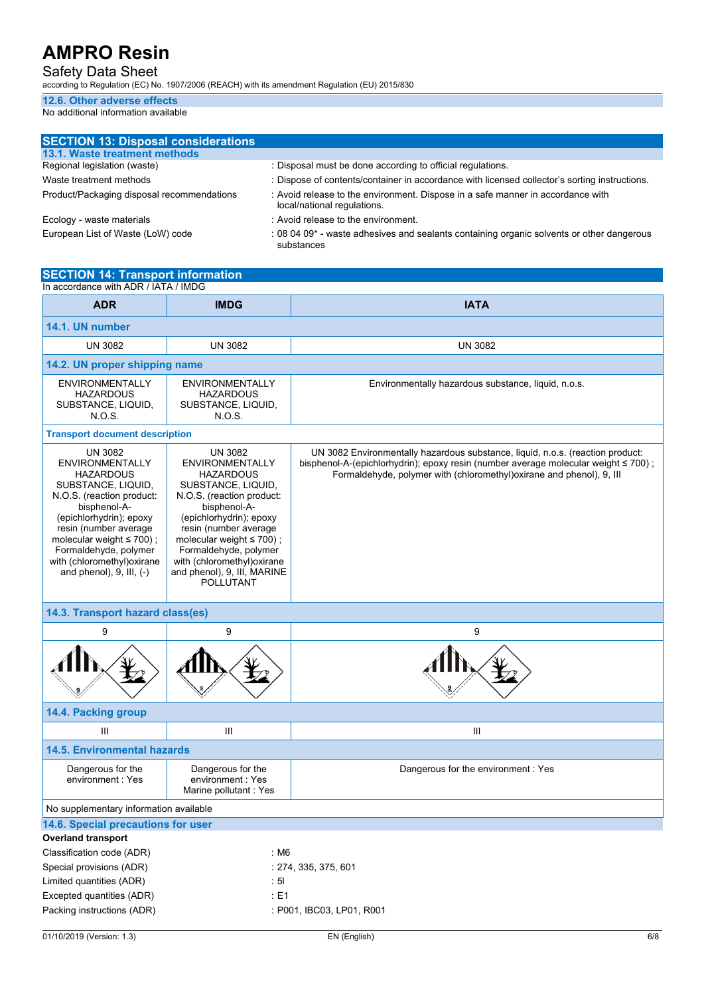Safety Data Sheet

according to Regulation (EC) No. 1907/2006 (REACH) with its amendment Regulation (EU) 2015/830

## **12.6. Other adverse effects**

| <b>SECTION 13: Disposal considerations</b> |                                                                                                                |
|--------------------------------------------|----------------------------------------------------------------------------------------------------------------|
| 13.1. Waste treatment methods              |                                                                                                                |
| Regional legislation (waste)               | : Disposal must be done according to official regulations.                                                     |
| Waste treatment methods                    | : Dispose of contents/container in accordance with licensed collector's sorting instructions.                  |
| Product/Packaging disposal recommendations | : Avoid release to the environment. Dispose in a safe manner in accordance with<br>local/national regulations. |
| Ecology - waste materials                  | : Avoid release to the environment.                                                                            |
| European List of Waste (LoW) code          | : 08 04 09* - waste adhesives and sealants containing organic solvents or other dangerous<br>substances        |

| <b>SECTION 14: Transport information</b><br>In accordance with ADR / IATA / IMDG                                                                                                                                                                                                                               |                                                                                                                                                                                                                                                                                                                                  |                                                                                                                                                                                                                                                     |  |
|----------------------------------------------------------------------------------------------------------------------------------------------------------------------------------------------------------------------------------------------------------------------------------------------------------------|----------------------------------------------------------------------------------------------------------------------------------------------------------------------------------------------------------------------------------------------------------------------------------------------------------------------------------|-----------------------------------------------------------------------------------------------------------------------------------------------------------------------------------------------------------------------------------------------------|--|
| <b>ADR</b>                                                                                                                                                                                                                                                                                                     | <b>IMDG</b>                                                                                                                                                                                                                                                                                                                      | <b>IATA</b>                                                                                                                                                                                                                                         |  |
| 14.1. UN number                                                                                                                                                                                                                                                                                                |                                                                                                                                                                                                                                                                                                                                  |                                                                                                                                                                                                                                                     |  |
| <b>UN 3082</b>                                                                                                                                                                                                                                                                                                 | <b>UN 3082</b>                                                                                                                                                                                                                                                                                                                   |                                                                                                                                                                                                                                                     |  |
|                                                                                                                                                                                                                                                                                                                |                                                                                                                                                                                                                                                                                                                                  | <b>UN 3082</b>                                                                                                                                                                                                                                      |  |
| 14.2. UN proper shipping name                                                                                                                                                                                                                                                                                  |                                                                                                                                                                                                                                                                                                                                  |                                                                                                                                                                                                                                                     |  |
| <b>ENVIRONMENTALLY</b><br><b>HAZARDOUS</b><br>SUBSTANCE, LIQUID,<br><b>N.O.S.</b>                                                                                                                                                                                                                              | <b>ENVIRONMENTALLY</b><br><b>HAZARDOUS</b><br>SUBSTANCE, LIQUID,<br>N.O.S.                                                                                                                                                                                                                                                       | Environmentally hazardous substance, liquid, n.o.s.                                                                                                                                                                                                 |  |
| <b>Transport document description</b>                                                                                                                                                                                                                                                                          |                                                                                                                                                                                                                                                                                                                                  |                                                                                                                                                                                                                                                     |  |
| <b>UN 3082</b><br><b>ENVIRONMENTALLY</b><br><b>HAZARDOUS</b><br>SUBSTANCE, LIQUID,<br>N.O.S. (reaction product:<br>bisphenol-A-<br>(epichlorhydrin); epoxy<br>resin (number average<br>molecular weight $\leq 700$ );<br>Formaldehyde, polymer<br>with (chloromethyl) oxirane<br>and phenol), $9$ , III, $(-)$ | <b>UN 3082</b><br><b>ENVIRONMENTALLY</b><br><b>HAZARDOUS</b><br>SUBSTANCE, LIQUID,<br>N.O.S. (reaction product:<br>bisphenol-A-<br>(epichlorhydrin); epoxy<br>resin (number average<br>molecular weight $\leq 700$ );<br>Formaldehyde, polymer<br>with (chloromethyl) oxirane<br>and phenol), 9, III, MARINE<br><b>POLLUTANT</b> | UN 3082 Environmentally hazardous substance, liquid, n.o.s. (reaction product:<br>bisphenol-A-(epichlorhydrin); epoxy resin (number average molecular weight $\leq 700$ );<br>Formaldehyde, polymer with (chloromethyl) oxirane and phenol), 9, III |  |
| 14.3. Transport hazard class(es)                                                                                                                                                                                                                                                                               |                                                                                                                                                                                                                                                                                                                                  |                                                                                                                                                                                                                                                     |  |
| 9                                                                                                                                                                                                                                                                                                              | 9                                                                                                                                                                                                                                                                                                                                | 9                                                                                                                                                                                                                                                   |  |
|                                                                                                                                                                                                                                                                                                                |                                                                                                                                                                                                                                                                                                                                  |                                                                                                                                                                                                                                                     |  |
| 14.4. Packing group                                                                                                                                                                                                                                                                                            |                                                                                                                                                                                                                                                                                                                                  |                                                                                                                                                                                                                                                     |  |
| Ш                                                                                                                                                                                                                                                                                                              | Ш                                                                                                                                                                                                                                                                                                                                | $\mathbf{III}$                                                                                                                                                                                                                                      |  |
| <b>14.5. Environmental hazards</b>                                                                                                                                                                                                                                                                             |                                                                                                                                                                                                                                                                                                                                  |                                                                                                                                                                                                                                                     |  |
| Dangerous for the<br>environment: Yes                                                                                                                                                                                                                                                                          | Dangerous for the<br>environment: Yes<br>Marine pollutant: Yes                                                                                                                                                                                                                                                                   | Dangerous for the environment: Yes                                                                                                                                                                                                                  |  |
| No supplementary information available                                                                                                                                                                                                                                                                         |                                                                                                                                                                                                                                                                                                                                  |                                                                                                                                                                                                                                                     |  |
| 14.6. Special precautions for user                                                                                                                                                                                                                                                                             |                                                                                                                                                                                                                                                                                                                                  |                                                                                                                                                                                                                                                     |  |
| <b>Overland transport</b>                                                                                                                                                                                                                                                                                      |                                                                                                                                                                                                                                                                                                                                  |                                                                                                                                                                                                                                                     |  |
| Classification code (ADR)                                                                                                                                                                                                                                                                                      | : M6                                                                                                                                                                                                                                                                                                                             |                                                                                                                                                                                                                                                     |  |
| Special provisions (ADR)                                                                                                                                                                                                                                                                                       |                                                                                                                                                                                                                                                                                                                                  | : 274, 335, 375, 601                                                                                                                                                                                                                                |  |
| Limited quantities (ADR)                                                                                                                                                                                                                                                                                       | : 5I                                                                                                                                                                                                                                                                                                                             |                                                                                                                                                                                                                                                     |  |
| Excepted quantities (ADR)                                                                                                                                                                                                                                                                                      | : E1                                                                                                                                                                                                                                                                                                                             |                                                                                                                                                                                                                                                     |  |
| Packing instructions (ADR)<br>: P001, IBC03, LP01, R001                                                                                                                                                                                                                                                        |                                                                                                                                                                                                                                                                                                                                  |                                                                                                                                                                                                                                                     |  |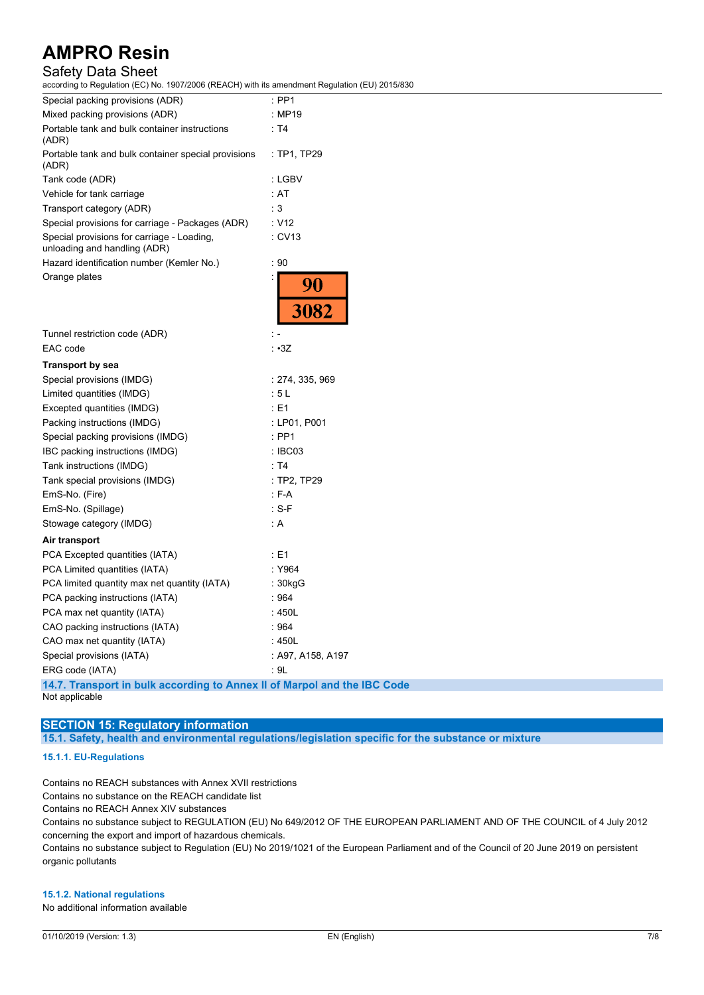## Safety Data Sheet

1907/2006 (REACH) with its amendment Regulation (EU) 2015/830

| according to Regulation (EC) No. 1907/2000 (REACH) with its amendment Regulation ( |                   |
|------------------------------------------------------------------------------------|-------------------|
| Special packing provisions (ADR)                                                   | $:$ PP1           |
| Mixed packing provisions (ADR)                                                     | : MP19            |
| Portable tank and bulk container instructions<br>(ADR)                             | : T4              |
| Portable tank and bulk container special provisions<br>(ADR)                       | : TP1, TP29       |
| Tank code (ADR)                                                                    | : LGBV            |
| Vehicle for tank carriage                                                          | : AT              |
| Transport category (ADR)                                                           | : 3               |
| Special provisions for carriage - Packages (ADR)                                   | : V12             |
| Special provisions for carriage - Loading,<br>unloading and handling (ADR)         | : CV13            |
| Hazard identification number (Kemler No.)                                          | : 90              |
| Orange plates                                                                      | <b>90</b><br>3082 |
| Tunnel restriction code (ADR)                                                      |                   |
| EAC code                                                                           | : •3Z             |
| Transport by sea                                                                   |                   |
| Special provisions (IMDG)                                                          | : 274, 335, 969   |
| Limited quantities (IMDG)                                                          | : 5L              |
| Excepted quantities (IMDG)                                                         | : E1              |
| Packing instructions (IMDG)                                                        | : LP01, P001      |
| Special packing provisions (IMDG)                                                  | : PP1             |
| IBC packing instructions (IMDG)                                                    | : IBC03           |
| Tank instructions (IMDG)                                                           | : T4              |
| Tank special provisions (IMDG)                                                     | : TP2, TP29       |
| EmS-No. (Fire)                                                                     | $: F-A$           |
| EmS-No. (Spillage)                                                                 | $: S-F$           |
| Stowage category (IMDG)                                                            | : A               |
| Air transport                                                                      |                   |
| PCA Excepted quantities (IATA)                                                     | : E1              |
| PCA Limited quantities (IATA)                                                      | : Y964            |
| PCA limited quantity max net quantity (IATA)                                       | $: 30$ kgG        |
| PCA packing instructions (IATA)                                                    | : 964             |
| PCA max net quantity (IATA)                                                        | : 450L            |
| CAO packing instructions (IATA)                                                    | : 964             |
| CAO max net quantity (IATA)                                                        | : 450L            |
| Special provisions (IATA)                                                          | : A97, A158, A197 |
| ERG code (IATA)                                                                    | : 9L              |
| A A T Tuesday of the built approaching to Amperi II of Monte algoed the            |                   |

**14.7. Transport in bulk according to Annex II of Marpol and the IBC Code** Not applicable

#### **SECTION 15: Regulatory information**

**15.1. Safety, health and environmental regulations/legislation specific for the substance or mixture**

#### **15.1.1. EU-Regulations**

Contains no REACH substances with Annex XVII restrictions

Contains no substance on the REACH candidate list

Contains no REACH Annex XIV substances

Contains no substance subject to REGULATION (EU) No 649/2012 OF THE EUROPEAN PARLIAMENT AND OF THE COUNCIL of 4 July 2012 concerning the export and import of hazardous chemicals.

Contains no substance subject to Regulation (EU) No 2019/1021 of the European Parliament and of the Council of 20 June 2019 on persistent organic pollutants

#### **15.1.2. National regulations**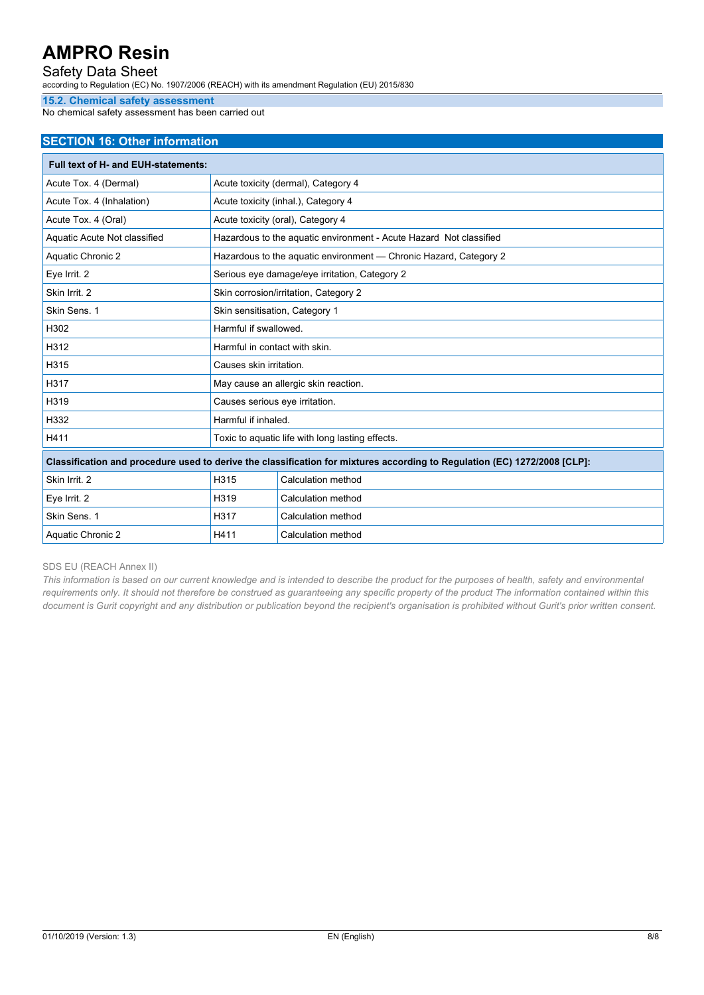### Safety Data Sheet

according to Regulation (EC) No. 1907/2006 (REACH) with its amendment Regulation (EU) 2015/830

#### **15.2. Chemical safety assessment**

No chemical safety assessment has been carried out

#### **SECTION 16: Other information**

| <b>Full text of H- and EUH-statements:</b>                                                                                |                                                                   |                                                                    |  |  |
|---------------------------------------------------------------------------------------------------------------------------|-------------------------------------------------------------------|--------------------------------------------------------------------|--|--|
| Acute Tox. 4 (Dermal)                                                                                                     | Acute toxicity (dermal), Category 4                               |                                                                    |  |  |
| Acute Tox. 4 (Inhalation)                                                                                                 | Acute toxicity (inhal.), Category 4                               |                                                                    |  |  |
| Acute Tox. 4 (Oral)                                                                                                       |                                                                   | Acute toxicity (oral), Category 4                                  |  |  |
| Aquatic Acute Not classified                                                                                              |                                                                   | Hazardous to the aquatic environment - Acute Hazard Not classified |  |  |
| Aquatic Chronic 2                                                                                                         | Hazardous to the aguatic environment - Chronic Hazard, Category 2 |                                                                    |  |  |
| Eye Irrit. 2                                                                                                              | Serious eye damage/eye irritation, Category 2                     |                                                                    |  |  |
| Skin Irrit. 2                                                                                                             | Skin corrosion/irritation, Category 2                             |                                                                    |  |  |
| Skin Sens. 1                                                                                                              | Skin sensitisation, Category 1                                    |                                                                    |  |  |
| H302                                                                                                                      | Harmful if swallowed.                                             |                                                                    |  |  |
| H312                                                                                                                      | Harmful in contact with skin.                                     |                                                                    |  |  |
| H315                                                                                                                      | Causes skin irritation.                                           |                                                                    |  |  |
| H317                                                                                                                      | May cause an allergic skin reaction.                              |                                                                    |  |  |
| H319                                                                                                                      | Causes serious eye irritation.                                    |                                                                    |  |  |
| H332                                                                                                                      | Harmful if inhaled.                                               |                                                                    |  |  |
| H411                                                                                                                      | Toxic to aquatic life with long lasting effects.                  |                                                                    |  |  |
| Classification and procedure used to derive the classification for mixtures according to Regulation (EC) 1272/2008 [CLP]: |                                                                   |                                                                    |  |  |
| Skin Irrit. 2                                                                                                             | H315                                                              | Calculation method                                                 |  |  |
| Eye Irrit. 2                                                                                                              | H319                                                              | Calculation method                                                 |  |  |
| Skin Sens. 1                                                                                                              | H317<br>Calculation method                                        |                                                                    |  |  |
| Aquatic Chronic 2                                                                                                         | H411<br>Calculation method                                        |                                                                    |  |  |

#### SDS EU (REACH Annex II)

This information is based on our current knowledge and is intended to describe the product for the purposes of health, safety and environmental requirements only. It should not therefore be construed as guaranteeing any specific property of the product The information contained within this document is Gurit copyright and any distribution or publication beyond the recipient's organisation is prohibited without Gurit's prior written consent.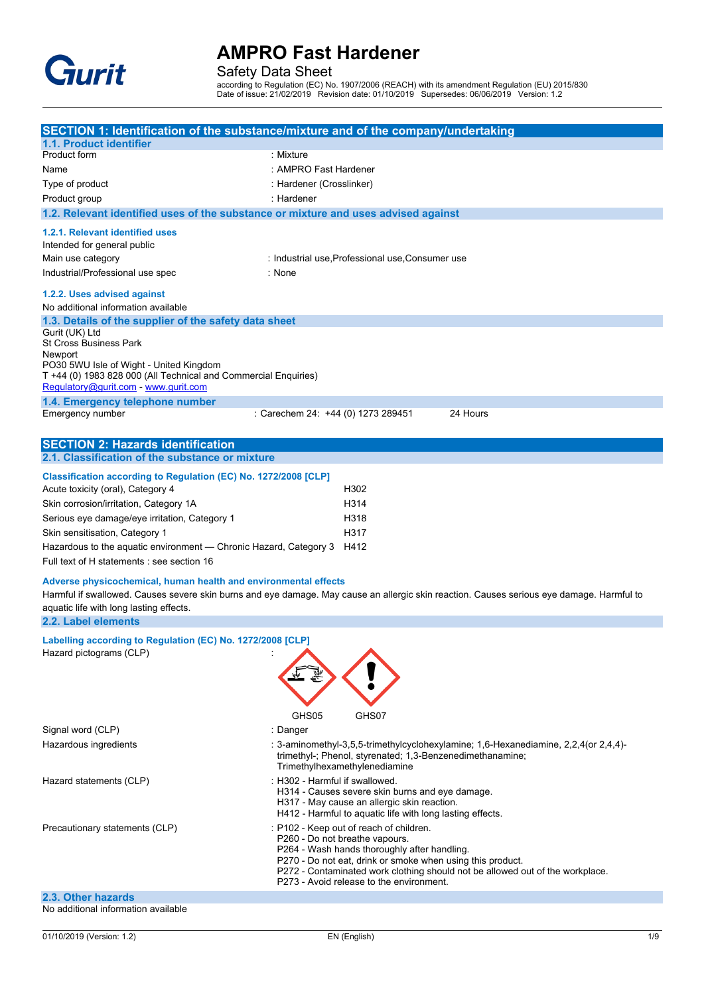

Safety Data Sheet

according to Regulation (EC) No. 1907/2006 (REACH) with its amendment Regulation (EU) 2015/830 Date of issue: 21/02/2019 Revision date: 01/10/2019 Supersedes: 06/06/2019 Version: 1.2

|                                                                                    | SECTION 1: Identification of the substance/mixture and of the company/undertaking                                                                |  |  |
|------------------------------------------------------------------------------------|--------------------------------------------------------------------------------------------------------------------------------------------------|--|--|
| 1.1. Product identifier                                                            |                                                                                                                                                  |  |  |
| Product form                                                                       | : Mixture                                                                                                                                        |  |  |
| Name                                                                               | : AMPRO Fast Hardener                                                                                                                            |  |  |
| Type of product                                                                    | : Hardener (Crosslinker)                                                                                                                         |  |  |
| Product group                                                                      | : Hardener                                                                                                                                       |  |  |
| 1.2. Relevant identified uses of the substance or mixture and uses advised against |                                                                                                                                                  |  |  |
| 1.2.1. Relevant identified uses                                                    |                                                                                                                                                  |  |  |
| Intended for general public                                                        |                                                                                                                                                  |  |  |
| Main use category                                                                  | : Industrial use Professional use Consumer use                                                                                                   |  |  |
| Industrial/Professional use spec                                                   | : None                                                                                                                                           |  |  |
|                                                                                    |                                                                                                                                                  |  |  |
| 1.2.2. Uses advised against                                                        |                                                                                                                                                  |  |  |
| No additional information available                                                |                                                                                                                                                  |  |  |
| 1.3. Details of the supplier of the safety data sheet                              |                                                                                                                                                  |  |  |
| Gurit (UK) Ltd                                                                     |                                                                                                                                                  |  |  |
| <b>St Cross Business Park</b>                                                      |                                                                                                                                                  |  |  |
| Newport<br>PO30 5WU Isle of Wight - United Kingdom                                 |                                                                                                                                                  |  |  |
| T +44 (0) 1983 828 000 (All Technical and Commercial Enquiries)                    |                                                                                                                                                  |  |  |
| Regulatory@gurit.com - www.gurit.com                                               |                                                                                                                                                  |  |  |
| 1.4. Emergency telephone number                                                    |                                                                                                                                                  |  |  |
| Emergency number                                                                   | 24 Hours<br>: Carechem 24: +44 (0) 1273 289451                                                                                                   |  |  |
|                                                                                    |                                                                                                                                                  |  |  |
| <b>SECTION 2: Hazards identification</b>                                           |                                                                                                                                                  |  |  |
| 2.1. Classification of the substance or mixture                                    |                                                                                                                                                  |  |  |
|                                                                                    |                                                                                                                                                  |  |  |
| Classification according to Regulation (EC) No. 1272/2008 [CLP]                    |                                                                                                                                                  |  |  |
| Acute toxicity (oral), Category 4                                                  | H302                                                                                                                                             |  |  |
| Skin corrosion/irritation, Category 1A                                             | H314                                                                                                                                             |  |  |
| Serious eye damage/eye irritation, Category 1                                      | H318                                                                                                                                             |  |  |
| Skin sensitisation, Category 1                                                     | H317                                                                                                                                             |  |  |
| Hazardous to the aquatic environment - Chronic Hazard, Category 3                  | H412                                                                                                                                             |  |  |
|                                                                                    |                                                                                                                                                  |  |  |
| Full text of H statements : see section 16                                         |                                                                                                                                                  |  |  |
| Adverse physicochemical, human health and environmental effects                    |                                                                                                                                                  |  |  |
|                                                                                    | Harmful if swallowed. Causes severe skin burns and eye damage. May cause an allergic skin reaction. Causes serious eye damage. Harmful to        |  |  |
| aquatic life with long lasting effects.                                            |                                                                                                                                                  |  |  |
| 2.2. Label elements                                                                |                                                                                                                                                  |  |  |
| Labelling according to Regulation (EC) No. 1272/2008 [CLP]                         |                                                                                                                                                  |  |  |
| Hazard pictograms (CLP)                                                            |                                                                                                                                                  |  |  |
|                                                                                    |                                                                                                                                                  |  |  |
|                                                                                    |                                                                                                                                                  |  |  |
|                                                                                    |                                                                                                                                                  |  |  |
|                                                                                    |                                                                                                                                                  |  |  |
|                                                                                    | GHS05<br>GHS07                                                                                                                                   |  |  |
| Signal word (CLP)                                                                  | : Danger                                                                                                                                         |  |  |
|                                                                                    |                                                                                                                                                  |  |  |
| Hazardous ingredients                                                              | : 3-aminomethyl-3,5,5-trimethylcyclohexylamine; 1,6-Hexanediamine, 2,2,4(or 2,4,4)-<br>trimethyl-; Phenol, styrenated; 1,3-Benzenedimethanamine; |  |  |
|                                                                                    | Trimethylhexamethylenediamine                                                                                                                    |  |  |
| Hazard statements (CLP)                                                            | : H302 - Harmful if swallowed.                                                                                                                   |  |  |
|                                                                                    | H314 - Causes severe skin burns and eye damage.                                                                                                  |  |  |
|                                                                                    | H317 - May cause an allergic skin reaction.                                                                                                      |  |  |
|                                                                                    | H412 - Harmful to aquatic life with long lasting effects.                                                                                        |  |  |
| Precautionary statements (CLP)                                                     | : P102 - Keep out of reach of children.                                                                                                          |  |  |
|                                                                                    | P260 - Do not breathe vapours.                                                                                                                   |  |  |
|                                                                                    | P264 - Wash hands thoroughly after handling.                                                                                                     |  |  |
|                                                                                    | P270 - Do not eat, drink or smoke when using this product.<br>P272 - Contaminated work clothing should not be allowed out of the workplace.      |  |  |
|                                                                                    | P273 - Avoid release to the environment.                                                                                                         |  |  |
| 2.3. Other hazards                                                                 |                                                                                                                                                  |  |  |
| No additional information available                                                |                                                                                                                                                  |  |  |
|                                                                                    |                                                                                                                                                  |  |  |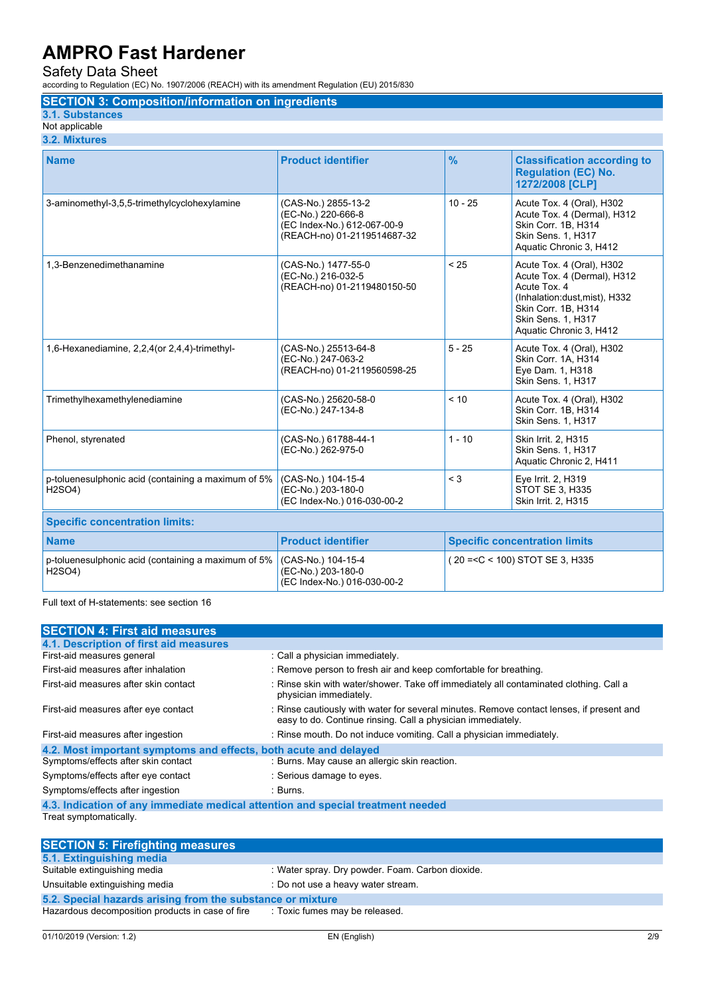Safety Data Sheet

according to Regulation (EC) No. 1907/2006 (REACH) with its amendment Regulation (EU) 2015/830

### **SECTION 3: Composition/information on ingredients**

### **3.1. Substances**

Not applicable **3.2. Mixtures**

| <b>Name</b>                                                   | <b>Product identifier</b>                                                                               | $\frac{9}{6}$                        | <b>Classification according to</b><br><b>Regulation (EC) No.</b><br>1272/2008 [CLP]                                                                                              |
|---------------------------------------------------------------|---------------------------------------------------------------------------------------------------------|--------------------------------------|----------------------------------------------------------------------------------------------------------------------------------------------------------------------------------|
| 3-aminomethyl-3,5,5-trimethylcyclohexylamine                  | (CAS-No.) 2855-13-2<br>(EC-No.) 220-666-8<br>(EC Index-No.) 612-067-00-9<br>(REACH-no) 01-2119514687-32 | $10 - 25$                            | Acute Tox. 4 (Oral), H302<br>Acute Tox. 4 (Dermal), H312<br>Skin Corr. 1B. H314<br>Skin Sens. 1, H317<br>Aquatic Chronic 3, H412                                                 |
| 1.3-Benzenedimethanamine                                      | (CAS-No.) 1477-55-0<br>(EC-No.) 216-032-5<br>(REACH-no) 01-2119480150-50                                | < 25                                 | Acute Tox. 4 (Oral), H302<br>Acute Tox. 4 (Dermal), H312<br>Acute Tox. 4<br>(Inhalation:dust.mist), H332<br>Skin Corr. 1B, H314<br>Skin Sens. 1, H317<br>Aquatic Chronic 3, H412 |
| 1,6-Hexanediamine, 2,2,4(or 2,4,4)-trimethyl-                 | (CAS-No.) 25513-64-8<br>(EC-No.) 247-063-2<br>(REACH-no) 01-2119560598-25                               | $5 - 25$                             | Acute Tox. 4 (Oral), H302<br>Skin Corr. 1A, H314<br>Eye Dam. 1, H318<br>Skin Sens. 1, H317                                                                                       |
| Trimethylhexamethylenediamine                                 | (CAS-No.) 25620-58-0<br>(EC-No.) 247-134-8                                                              | < 10                                 | Acute Tox. 4 (Oral), H302<br>Skin Corr. 1B, H314<br>Skin Sens. 1, H317                                                                                                           |
| Phenol, styrenated                                            | (CAS-No.) 61788-44-1<br>(EC-No.) 262-975-0                                                              | $1 - 10$                             | Skin Irrit. 2, H315<br>Skin Sens. 1, H317<br>Aquatic Chronic 2, H411                                                                                                             |
| p-toluenesulphonic acid (containing a maximum of 5%<br>H2SO4) | (CAS-No.) 104-15-4<br>(EC-No.) 203-180-0<br>(EC Index-No.) 016-030-00-2                                 | $<$ 3                                | Eye Irrit. 2, H319<br><b>STOT SE 3. H335</b><br>Skin Irrit. 2, H315                                                                                                              |
| <b>Specific concentration limits:</b>                         |                                                                                                         |                                      |                                                                                                                                                                                  |
| <b>Name</b>                                                   | <b>Product identifier</b>                                                                               | <b>Specific concentration limits</b> |                                                                                                                                                                                  |
| p-toluenesulphonic acid (containing a maximum of 5%<br>H2SO4) | (CAS-No.) 104-15-4<br>(EC-No.) 203-180-0<br>(EC Index-No.) 016-030-00-2                                 | (20 = < C < 100) STOT SE 3. H335     |                                                                                                                                                                                  |

Full text of H-statements: see section 16

| <b>SECTION 4: First aid measures</b>                                            |                                                                                                                                                         |  |
|---------------------------------------------------------------------------------|---------------------------------------------------------------------------------------------------------------------------------------------------------|--|
| 4.1. Description of first aid measures                                          |                                                                                                                                                         |  |
| First-aid measures general                                                      | : Call a physician immediately.                                                                                                                         |  |
| First-aid measures after inhalation                                             | : Remove person to fresh air and keep comfortable for breathing.                                                                                        |  |
| First-aid measures after skin contact                                           | : Rinse skin with water/shower. Take off immediately all contaminated clothing. Call a<br>physician immediately.                                        |  |
| First-aid measures after eye contact                                            | : Rinse cautiously with water for several minutes. Remove contact lenses, if present and<br>easy to do. Continue rinsing. Call a physician immediately. |  |
| First-aid measures after ingestion                                              | : Rinse mouth. Do not induce vomiting. Call a physician immediately.                                                                                    |  |
| 4.2. Most important symptoms and effects, both acute and delayed                |                                                                                                                                                         |  |
| Symptoms/effects after skin contact                                             | : Burns. May cause an allergic skin reaction.                                                                                                           |  |
| Symptoms/effects after eye contact                                              | : Serious damage to eyes.                                                                                                                               |  |
| Symptoms/effects after ingestion                                                | : Burns.                                                                                                                                                |  |
| 4.3. Indication of any immediate medical attention and special treatment needed |                                                                                                                                                         |  |
| Treat symptomatically.                                                          |                                                                                                                                                         |  |
| <b>CECTION E. Eirofiabting monetizes</b>                                        |                                                                                                                                                         |  |

| <b>SECTION 5: Firefighting measures</b>                    |                                                  |  |
|------------------------------------------------------------|--------------------------------------------------|--|
| 5.1. Extinguishing media                                   |                                                  |  |
| Suitable extinguishing media                               | : Water spray. Dry powder. Foam. Carbon dioxide. |  |
| Unsuitable extinguishing media                             | : Do not use a heavy water stream.               |  |
| 5.2. Special hazards arising from the substance or mixture |                                                  |  |
| Hazardous decomposition products in case of fire           | : Toxic fumes may be released.                   |  |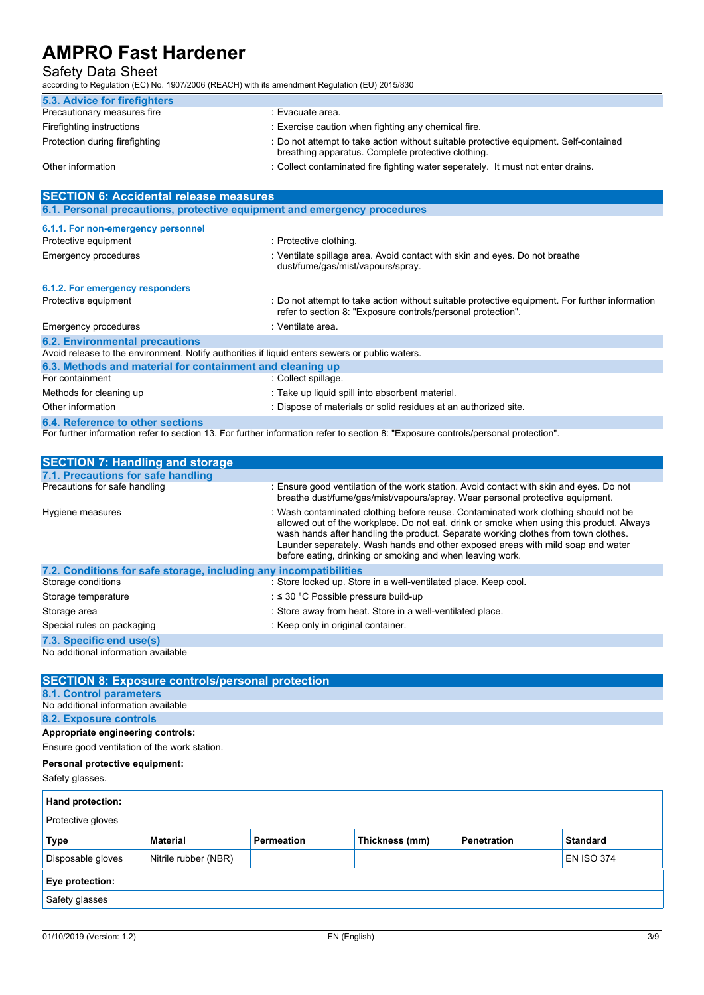### Safety Data Sheet

according to Regulation (EC) No. 1907/2006 (REACH) with its amendment Regulation (EU) 2015/830

| 5.3. Advice for firefighters   |                                                                                                                                             |
|--------------------------------|---------------------------------------------------------------------------------------------------------------------------------------------|
| Precautionary measures fire    | : Evacuate area.                                                                                                                            |
| Firefighting instructions      | : Exercise caution when fighting any chemical fire.                                                                                         |
| Protection during firefighting | : Do not attempt to take action without suitable protective equipment. Self-contained<br>breathing apparatus. Complete protective clothing. |
| Other information              | : Collect contaminated fire fighting water seperately. It must not enter drains.                                                            |

| <b>SECTION 6: Accidental release measures</b>                                                  |                                                                                                                                                                |  |  |  |
|------------------------------------------------------------------------------------------------|----------------------------------------------------------------------------------------------------------------------------------------------------------------|--|--|--|
| 6.1. Personal precautions, protective equipment and emergency procedures                       |                                                                                                                                                                |  |  |  |
| 6.1.1. For non-emergency personnel                                                             |                                                                                                                                                                |  |  |  |
| Protective equipment                                                                           | : Protective clothing.                                                                                                                                         |  |  |  |
| <b>Emergency procedures</b>                                                                    | : Ventilate spillage area. Avoid contact with skin and eyes. Do not breathe<br>dust/fume/gas/mist/vapours/spray.                                               |  |  |  |
| 6.1.2. For emergency responders                                                                |                                                                                                                                                                |  |  |  |
| Protective equipment                                                                           | : Do not attempt to take action without suitable protective equipment. For further information<br>refer to section 8: "Exposure controls/personal protection". |  |  |  |
| Emergency procedures                                                                           | : Ventilate area.                                                                                                                                              |  |  |  |
| <b>6.2. Environmental precautions</b>                                                          |                                                                                                                                                                |  |  |  |
| Avoid release to the environment. Notify authorities if liquid enters sewers or public waters. |                                                                                                                                                                |  |  |  |
| 6.3. Methods and material for containment and cleaning up                                      |                                                                                                                                                                |  |  |  |
| For containment                                                                                | : Collect spillage.                                                                                                                                            |  |  |  |
| Methods for cleaning up                                                                        | : Take up liquid spill into absorbent material.                                                                                                                |  |  |  |
| Other information                                                                              | : Dispose of materials or solid residues at an authorized site.                                                                                                |  |  |  |
| 6.4. Reference to other sections                                                               |                                                                                                                                                                |  |  |  |

For further information refer to section 13. For further information refer to section 8: "Exposure controls/personal protection".

| <b>SECTION 7: Handling and storage</b>                            |                                                                                                                                                                                                                                                                                                                                                                                                                       |
|-------------------------------------------------------------------|-----------------------------------------------------------------------------------------------------------------------------------------------------------------------------------------------------------------------------------------------------------------------------------------------------------------------------------------------------------------------------------------------------------------------|
| 7.1. Precautions for safe handling                                |                                                                                                                                                                                                                                                                                                                                                                                                                       |
| Precautions for safe handling                                     | : Ensure good ventilation of the work station. Avoid contact with skin and eyes. Do not<br>breathe dust/fume/gas/mist/vapours/spray. Wear personal protective equipment.                                                                                                                                                                                                                                              |
| Hygiene measures                                                  | : Wash contaminated clothing before reuse. Contaminated work clothing should not be<br>allowed out of the workplace. Do not eat, drink or smoke when using this product. Always<br>wash hands after handling the product. Separate working clothes from town clothes.<br>Launder separately. Wash hands and other exposed areas with mild soap and water<br>before eating, drinking or smoking and when leaving work. |
| 7.2. Conditions for safe storage, including any incompatibilities |                                                                                                                                                                                                                                                                                                                                                                                                                       |
| Storage conditions                                                | : Store locked up. Store in a well-ventilated place. Keep cool.                                                                                                                                                                                                                                                                                                                                                       |
| Storage temperature                                               | : $\leq$ 30 °C Possible pressure build-up                                                                                                                                                                                                                                                                                                                                                                             |
| Storage area                                                      | : Store away from heat. Store in a well-ventilated place.                                                                                                                                                                                                                                                                                                                                                             |
| Special rules on packaging                                        | : Keep only in original container.                                                                                                                                                                                                                                                                                                                                                                                    |
| 7.3. Specific end use(s)                                          |                                                                                                                                                                                                                                                                                                                                                                                                                       |
|                                                                   |                                                                                                                                                                                                                                                                                                                                                                                                                       |

|                                                                | <b>SECTION 8: Exposure controls/personal protection</b> |                   |                |                    |                   |
|----------------------------------------------------------------|---------------------------------------------------------|-------------------|----------------|--------------------|-------------------|
|                                                                |                                                         |                   |                |                    |                   |
| 8.1. Control parameters<br>No additional information available |                                                         |                   |                |                    |                   |
|                                                                |                                                         |                   |                |                    |                   |
| 8.2. Exposure controls                                         |                                                         |                   |                |                    |                   |
| Appropriate engineering controls:                              |                                                         |                   |                |                    |                   |
| Ensure good ventilation of the work station.                   |                                                         |                   |                |                    |                   |
| Personal protective equipment:                                 |                                                         |                   |                |                    |                   |
| Safety glasses.                                                |                                                         |                   |                |                    |                   |
| Hand protection:                                               |                                                         |                   |                |                    |                   |
| Protective gloves                                              |                                                         |                   |                |                    |                   |
| <b>Type</b>                                                    | <b>Material</b>                                         | <b>Permeation</b> | Thickness (mm) | <b>Penetration</b> | <b>Standard</b>   |
| Disposable gloves                                              | Nitrile rubber (NBR)                                    |                   |                |                    | <b>EN ISO 374</b> |
| Eye protection:                                                |                                                         |                   |                |                    |                   |
| Safety glasses                                                 |                                                         |                   |                |                    |                   |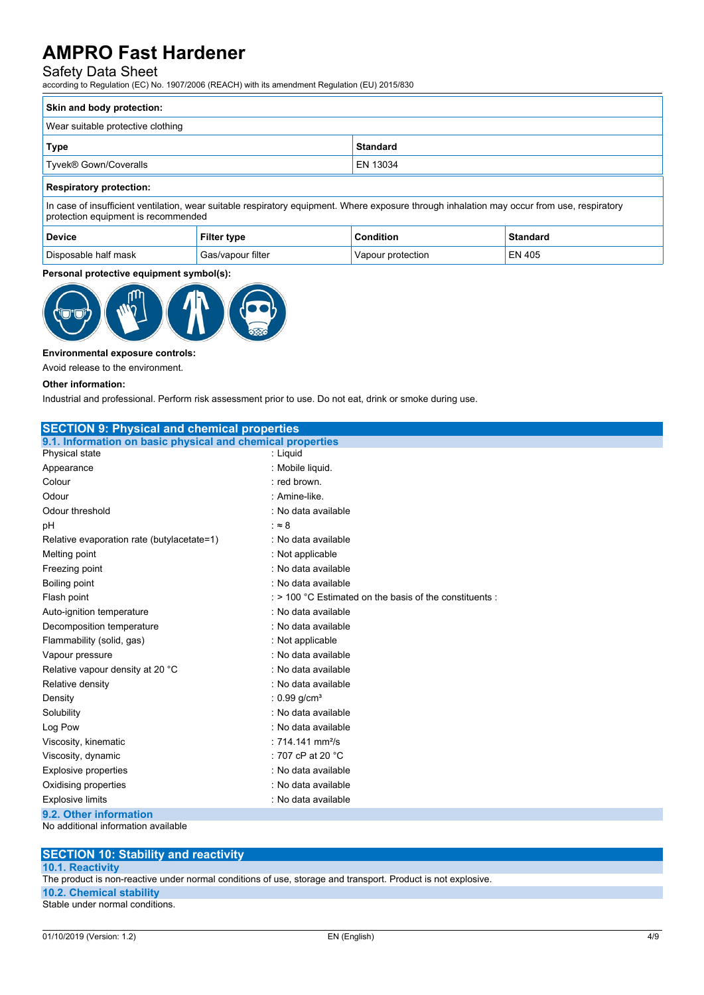### Safety Data Sheet

according to Regulation (EC) No. 1907/2006 (REACH) with its amendment Regulation (EU) 2015/830

| Skin and body protection:                                                                                                                                                          |                 |  |
|------------------------------------------------------------------------------------------------------------------------------------------------------------------------------------|-----------------|--|
| Wear suitable protective clothing                                                                                                                                                  |                 |  |
| Type                                                                                                                                                                               | <b>Standard</b> |  |
| Tyvek® Gown/Coveralls                                                                                                                                                              | EN 13034        |  |
| <b>Respiratory protection:</b>                                                                                                                                                     |                 |  |
| In case of insufficient ventilation, wear suitable respiratory equipment. Where exposure through inhalation may occur from use, respiratory<br>protection equipment is recommended |                 |  |

| <b>Device</b>        | Filter type       | Condition         | Standard      |
|----------------------|-------------------|-------------------|---------------|
| Disposable half mask | Gas/vapour filter | Vapour protection | <b>EN 405</b> |

#### **Personal protective equipment symbol(s):**



#### **Environmental exposure controls:**

Avoid release to the environment.

#### **Other information:**

Industrial and professional. Perform risk assessment prior to use. Do not eat, drink or smoke during use.

| <b>SECTION 9: Physical and chemical properties</b>         |                                                                    |  |
|------------------------------------------------------------|--------------------------------------------------------------------|--|
| 9.1. Information on basic physical and chemical properties |                                                                    |  |
| Physical state                                             | : Liquid                                                           |  |
| Appearance                                                 | : Mobile liquid.                                                   |  |
| Colour                                                     | : red brown.                                                       |  |
| Odour                                                      | : Amine-like.                                                      |  |
| Odour threshold                                            | : No data available                                                |  |
| рH                                                         | : $\approx 8$                                                      |  |
| Relative evaporation rate (butylacetate=1)                 | : No data available                                                |  |
| Melting point                                              | : Not applicable                                                   |  |
| Freezing point                                             | : No data available                                                |  |
| Boiling point                                              | : No data available                                                |  |
| Flash point                                                | $\therefore$ > 100 °C Estimated on the basis of the constituents : |  |
| Auto-ignition temperature                                  | : No data available                                                |  |
| Decomposition temperature                                  | : No data available                                                |  |
| Flammability (solid, gas)                                  | : Not applicable                                                   |  |
| Vapour pressure                                            | : No data available                                                |  |
| Relative vapour density at 20 °C                           | : No data available                                                |  |
| Relative density                                           | : No data available                                                |  |
| Density                                                    | : $0.99$ g/cm <sup>3</sup>                                         |  |
| Solubility                                                 | : No data available                                                |  |
| Log Pow                                                    | : No data available                                                |  |
| Viscosity, kinematic                                       | : $714.141$ mm <sup>2</sup> /s                                     |  |
| Viscosity, dynamic                                         | : 707 cP at 20 °C                                                  |  |
| <b>Explosive properties</b>                                | : No data available                                                |  |
| Oxidising properties                                       | : No data available                                                |  |
| <b>Explosive limits</b>                                    | : No data available                                                |  |
| 9.2. Other information                                     |                                                                    |  |

No additional information available

#### **SECTION 10: Stability and reactivity**

#### **10.1. Reactivity**

The product is non-reactive under normal conditions of use, storage and transport. Product is not explosive.

**10.2. Chemical stability**

Stable under normal conditions.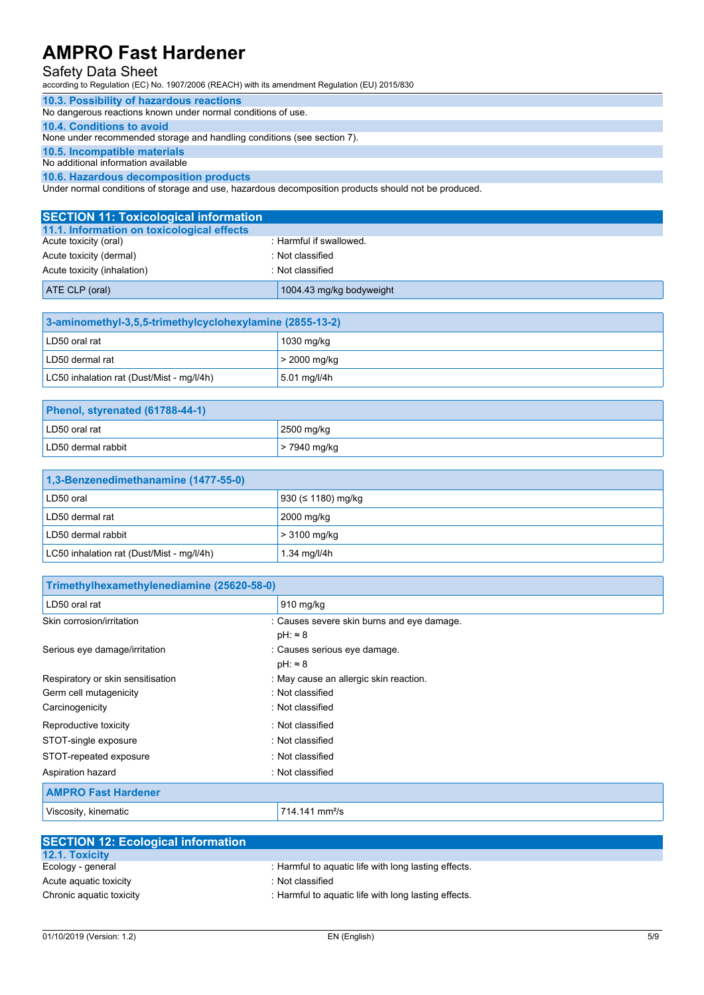### Safety Data Sheet

according to Regulation (EC) No. 1907/2006 (REACH) with its amendment Regulation (EU) 2015/830

#### **10.3. Possibility of hazardous reactions**

No dangerous reactions known under normal conditions of use.

#### **10.4. Conditions to avoid**

None under recommended storage and handling conditions (see section 7).

### **10.5. Incompatible materials**

No additional information available

#### **10.6. Hazardous decomposition products**

Under normal conditions of storage and use, hazardous decomposition products should not be produced.

| <b>SECTION 11: Toxicological information</b> |                          |
|----------------------------------------------|--------------------------|
| 11.1. Information on toxicological effects   |                          |
| Acute toxicity (oral)                        | : Harmful if swallowed.  |
| Acute toxicity (dermal)                      | : Not classified         |
| Acute toxicity (inhalation)                  | : Not classified         |
| ATE CLP (oral)                               | 1004.43 mg/kg bodyweight |

| 3-aminomethyl-3,5,5-trimethylcyclohexylamine (2855-13-2) |                |  |
|----------------------------------------------------------|----------------|--|
| LD50 oral rat                                            | 1030 mg/kg     |  |
| LD50 dermal rat                                          | $>$ 2000 mg/kg |  |
| LC50 inhalation rat (Dust/Mist - mg/l/4h)                | 5.01 mg/l/4h   |  |

| Phenol, styrenated (61788-44-1) |                |  |
|---------------------------------|----------------|--|
| LD50 oral rat                   | 2500 mg/kg     |  |
| LD50 dermal rabbit              | $> 7940$ mg/kg |  |

| 1,3-Benzenedimethanamine (1477-55-0)      |                          |  |  |  |
|-------------------------------------------|--------------------------|--|--|--|
| LD50 oral                                 | 930 ( $\leq$ 1180) mg/kg |  |  |  |
| LD50 dermal rat                           | 2000 mg/kg               |  |  |  |
| LD50 dermal rabbit                        | $>$ 3100 mg/kg           |  |  |  |
| LC50 inhalation rat (Dust/Mist - mg/l/4h) | 1.34 mg/l/4h             |  |  |  |

| Trimethylhexamethylenediamine (25620-58-0) |                                            |
|--------------------------------------------|--------------------------------------------|
| LD50 oral rat                              | $910$ mg/kg                                |
| Skin corrosion/irritation                  | : Causes severe skin burns and eye damage. |
|                                            | $pH: \approx 8$                            |
| Serious eye damage/irritation              | : Causes serious eye damage.               |
|                                            | $pH: \approx 8$                            |
| Respiratory or skin sensitisation          | : May cause an allergic skin reaction.     |
| Germ cell mutagenicity                     | : Not classified                           |
| Carcinogenicity                            | : Not classified                           |
| Reproductive toxicity                      | : Not classified                           |
| STOT-single exposure                       | : Not classified                           |
| STOT-repeated exposure                     | : Not classified                           |
| Aspiration hazard                          | : Not classified                           |
| <b>AMPRO Fast Hardener</b>                 |                                            |
| Viscosity, kinematic                       | 714.141 mm <sup>2</sup> /s                 |

| <b>SECTION 12: Ecological information</b> |                                                      |
|-------------------------------------------|------------------------------------------------------|
| <b>12.1. Toxicity</b>                     |                                                      |
| Ecology - general                         | : Harmful to aquatic life with long lasting effects. |
| Acute aguatic toxicity                    | : Not classified                                     |
| Chronic aquatic toxicity                  | : Harmful to aguatic life with long lasting effects. |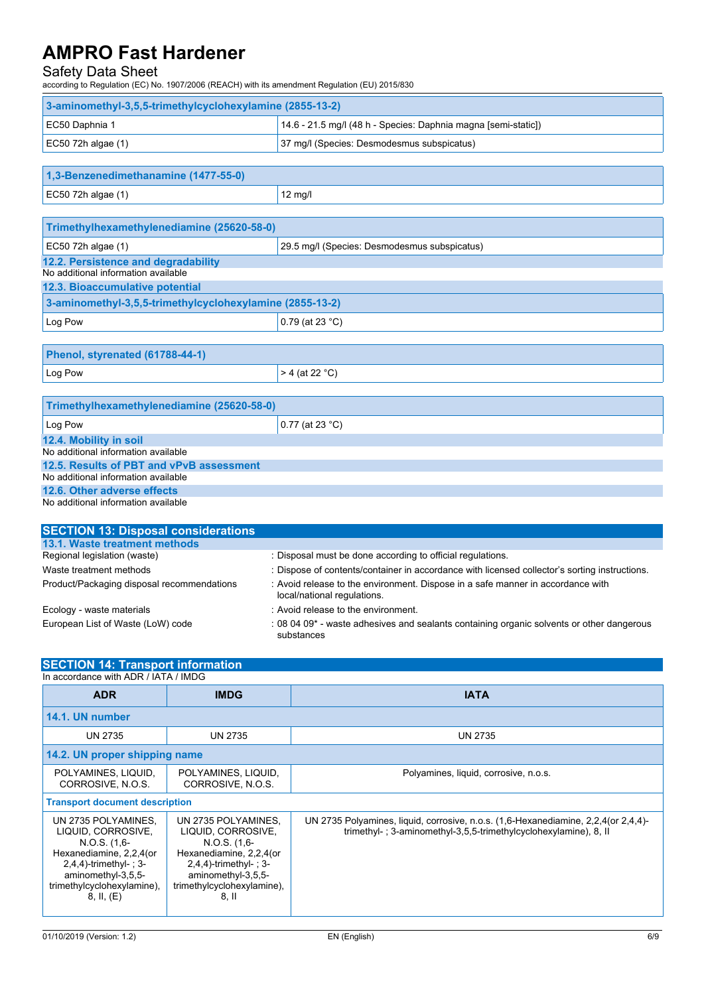### Safety Data Sheet

according to Regulation (EC) No. 1907/2006 (REACH) with its amendment Regulation (EU) 2015/830

| 3-aminomethyl-3,5,5-trimethylcyclohexylamine (2855-13-2) |                                                                |  |  |  |
|----------------------------------------------------------|----------------------------------------------------------------|--|--|--|
| EC50 Daphnia 1                                           | 14.6 - 21.5 mg/l (48 h - Species: Daphnia magna [semi-static]) |  |  |  |
| EC50 72h algae $(1)$                                     | 37 mg/l (Species: Desmodesmus subspicatus)                     |  |  |  |

| 1,3-Benzenedimethanamine (1477-55-0) |         |  |  |  |
|--------------------------------------|---------|--|--|--|
| EC50 72h algae $(1)$                 | 12 mg/l |  |  |  |

| Trimethylhexamethylenediamine (25620-58-0)                           |  |  |  |  |  |
|----------------------------------------------------------------------|--|--|--|--|--|
| 29.5 mg/l (Species: Desmodesmus subspicatus)<br>$EC50$ 72h algae (1) |  |  |  |  |  |
| 12.2. Persistence and degradability                                  |  |  |  |  |  |
| No additional information available                                  |  |  |  |  |  |
| 12.3. Bioaccumulative potential                                      |  |  |  |  |  |
| 3-aminomethyl-3,5,5-trimethylcyclohexylamine (2855-13-2)             |  |  |  |  |  |
| Log Pow<br>0.79 (at 23 °C)                                           |  |  |  |  |  |

| Phenol, styrenated (61788-44-1)            |  |  |  |  |  |  |
|--------------------------------------------|--|--|--|--|--|--|
| Log Pow<br>$> 4$ (at 22 °C)                |  |  |  |  |  |  |
|                                            |  |  |  |  |  |  |
| Trimethylhexamethylenediamine (25620-58-0) |  |  |  |  |  |  |
| Log Pow<br>$ 0.77$ (at 23 °C)              |  |  |  |  |  |  |
| 12.4. Mobility in soil                     |  |  |  |  |  |  |

|  |  |  | No additional information available |  |  |  |  |
|--|--|--|-------------------------------------|--|--|--|--|
|  |  |  |                                     |  |  |  |  |
|  |  |  |                                     |  |  |  |  |
|  |  |  |                                     |  |  |  |  |

#### **12.5. Results of PBT and vPvB assessment** No additional information available

### **12.6. Other adverse effects**

No additional information available

| <b>SECTION 13: Disposal considerations</b> |                                                                                                                |
|--------------------------------------------|----------------------------------------------------------------------------------------------------------------|
| 13.1. Waste treatment methods              |                                                                                                                |
| Regional legislation (waste)               | : Disposal must be done according to official regulations.                                                     |
| Waste treatment methods                    | : Dispose of contents/container in accordance with licensed collector's sorting instructions.                  |
| Product/Packaging disposal recommendations | : Avoid release to the environment. Dispose in a safe manner in accordance with<br>local/national regulations. |
| Ecology - waste materials                  | : Avoid release to the environment.                                                                            |
| European List of Waste (LoW) code          | : 08 04 09* - waste adhesives and sealants containing organic solvents or other dangerous<br>substances        |

## **SECTION 14: Transport information**

| In accordance with ADR / IATA / IMDG                                                                                                                                                |                                                                                                                                                                                    |                                                                                                                                                         |  |  |  |  |  |  |
|-------------------------------------------------------------------------------------------------------------------------------------------------------------------------------------|------------------------------------------------------------------------------------------------------------------------------------------------------------------------------------|---------------------------------------------------------------------------------------------------------------------------------------------------------|--|--|--|--|--|--|
| <b>ADR</b>                                                                                                                                                                          | <b>IMDG</b>                                                                                                                                                                        | <b>IATA</b>                                                                                                                                             |  |  |  |  |  |  |
| 14.1. UN number                                                                                                                                                                     |                                                                                                                                                                                    |                                                                                                                                                         |  |  |  |  |  |  |
| <b>UN 2735</b>                                                                                                                                                                      | <b>UN 2735</b>                                                                                                                                                                     | <b>UN 2735</b>                                                                                                                                          |  |  |  |  |  |  |
|                                                                                                                                                                                     | 14.2. UN proper shipping name                                                                                                                                                      |                                                                                                                                                         |  |  |  |  |  |  |
| POLYAMINES, LIQUID,<br>CORROSIVE, N.O.S.                                                                                                                                            | POLYAMINES, LIQUID,<br>CORROSIVE, N.O.S.                                                                                                                                           | Polyamines, liquid, corrosive, n.o.s.                                                                                                                   |  |  |  |  |  |  |
| <b>Transport document description</b>                                                                                                                                               |                                                                                                                                                                                    |                                                                                                                                                         |  |  |  |  |  |  |
| UN 2735 POLYAMINES.<br>LIQUID, CORROSIVE,<br>$N.O.S.$ (1.6-<br>Hexanediamine, 2,2,4(or<br>$2,4,4$ -trimethyl-; 3-<br>aminomethyl-3,5,5-<br>trimethylcyclohexylamine),<br>8, II, (E) | UN 2735 POLYAMINES,<br>LIQUID, CORROSIVE,<br>$N.O.S.$ $(1,6-)$<br>Hexanediamine, 2,2,4(or<br>$2,4,4$ -trimethyl- : 3-<br>aminomethyl-3,5,5-<br>trimethylcyclohexylamine),<br>8. II | UN 2735 Polyamines, liquid, corrosive, n.o.s. (1,6-Hexanediamine, 2,2,4 (or 2,4,4)-<br>trimethyl-; 3-aminomethyl-3,5,5-trimethylcyclohexylamine), 8, II |  |  |  |  |  |  |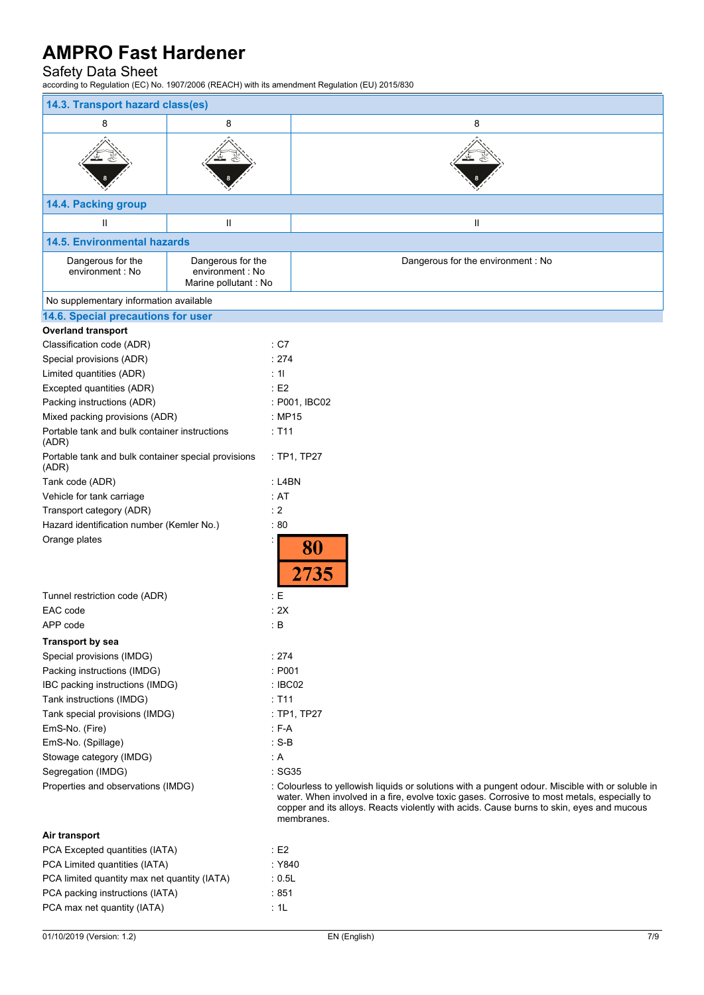## Safety Data Sheet

according to Regulation (EC) No. 1907/2006 (REACH) with its amendment Regulation (EU) 2015/830

| 14.3. Transport hazard class(es)                             |                                                                |                                                                                                                                                                                                                                                                                                           |  |  |  |  |
|--------------------------------------------------------------|----------------------------------------------------------------|-----------------------------------------------------------------------------------------------------------------------------------------------------------------------------------------------------------------------------------------------------------------------------------------------------------|--|--|--|--|
| 8                                                            | 8                                                              | 8                                                                                                                                                                                                                                                                                                         |  |  |  |  |
|                                                              |                                                                |                                                                                                                                                                                                                                                                                                           |  |  |  |  |
| 14.4. Packing group                                          |                                                                |                                                                                                                                                                                                                                                                                                           |  |  |  |  |
| Ш                                                            | Ш                                                              | Ш                                                                                                                                                                                                                                                                                                         |  |  |  |  |
| <b>14.5. Environmental hazards</b>                           |                                                                |                                                                                                                                                                                                                                                                                                           |  |  |  |  |
| Dangerous for the<br>environment : No                        | Dangerous for the<br>environment : No<br>Marine pollutant : No | Dangerous for the environment : No                                                                                                                                                                                                                                                                        |  |  |  |  |
| No supplementary information available                       |                                                                |                                                                                                                                                                                                                                                                                                           |  |  |  |  |
| 14.6. Special precautions for user                           |                                                                |                                                                                                                                                                                                                                                                                                           |  |  |  |  |
| <b>Overland transport</b>                                    |                                                                |                                                                                                                                                                                                                                                                                                           |  |  |  |  |
| Classification code (ADR)                                    |                                                                | : C7                                                                                                                                                                                                                                                                                                      |  |  |  |  |
| Special provisions (ADR)                                     |                                                                | : 274                                                                                                                                                                                                                                                                                                     |  |  |  |  |
| Limited quantities (ADR)                                     |                                                                | : 11                                                                                                                                                                                                                                                                                                      |  |  |  |  |
| Excepted quantities (ADR)                                    |                                                                | E2                                                                                                                                                                                                                                                                                                        |  |  |  |  |
| Packing instructions (ADR)                                   |                                                                | : P001, IBC02                                                                                                                                                                                                                                                                                             |  |  |  |  |
| Mixed packing provisions (ADR)                               |                                                                | : MP15                                                                                                                                                                                                                                                                                                    |  |  |  |  |
| Portable tank and bulk container instructions<br>(ADR)       |                                                                | : T11                                                                                                                                                                                                                                                                                                     |  |  |  |  |
| Portable tank and bulk container special provisions<br>(ADR) |                                                                | : TP1, TP27                                                                                                                                                                                                                                                                                               |  |  |  |  |
| Tank code (ADR)                                              |                                                                | : L4BN                                                                                                                                                                                                                                                                                                    |  |  |  |  |
| Vehicle for tank carriage                                    |                                                                | : AT                                                                                                                                                                                                                                                                                                      |  |  |  |  |
| Transport category (ADR)                                     |                                                                | : 2                                                                                                                                                                                                                                                                                                       |  |  |  |  |
| Hazard identification number (Kemler No.)                    |                                                                | :80                                                                                                                                                                                                                                                                                                       |  |  |  |  |
| Orange plates                                                |                                                                | 80<br>2735                                                                                                                                                                                                                                                                                                |  |  |  |  |
| Tunnel restriction code (ADR)                                |                                                                | E                                                                                                                                                                                                                                                                                                         |  |  |  |  |
| EAC code                                                     |                                                                | : 2X                                                                                                                                                                                                                                                                                                      |  |  |  |  |
| APP code                                                     |                                                                | $\colon$ B                                                                                                                                                                                                                                                                                                |  |  |  |  |
| <b>Transport by sea</b>                                      |                                                                |                                                                                                                                                                                                                                                                                                           |  |  |  |  |
| Special provisions (IMDG)                                    |                                                                | :274                                                                                                                                                                                                                                                                                                      |  |  |  |  |
| Packing instructions (IMDG)                                  |                                                                | : P001                                                                                                                                                                                                                                                                                                    |  |  |  |  |
| IBC packing instructions (IMDG)                              |                                                                | : IBC02                                                                                                                                                                                                                                                                                                   |  |  |  |  |
| Tank instructions (IMDG)<br>Tank special provisions (IMDG)   |                                                                | $:$ T11<br>: TP1, TP27                                                                                                                                                                                                                                                                                    |  |  |  |  |
| EmS-No. (Fire)                                               |                                                                | $: F-A$                                                                                                                                                                                                                                                                                                   |  |  |  |  |
| EmS-No. (Spillage)                                           |                                                                | $: S-B$                                                                                                                                                                                                                                                                                                   |  |  |  |  |
| Stowage category (IMDG)                                      |                                                                | : A                                                                                                                                                                                                                                                                                                       |  |  |  |  |
| Segregation (IMDG)                                           |                                                                | :SG35                                                                                                                                                                                                                                                                                                     |  |  |  |  |
| Properties and observations (IMDG)                           |                                                                | : Colourless to yellowish liquids or solutions with a pungent odour. Miscible with or soluble in<br>water. When involved in a fire, evolve toxic gases. Corrosive to most metals, especially to<br>copper and its alloys. Reacts violently with acids. Cause burns to skin, eyes and mucous<br>membranes. |  |  |  |  |
| Air transport                                                |                                                                |                                                                                                                                                                                                                                                                                                           |  |  |  |  |
| PCA Excepted quantities (IATA)                               |                                                                | : E2                                                                                                                                                                                                                                                                                                      |  |  |  |  |
| PCA Limited quantities (IATA)                                |                                                                | : Y840                                                                                                                                                                                                                                                                                                    |  |  |  |  |
| PCA limited quantity max net quantity (IATA)                 |                                                                | : 0.5L                                                                                                                                                                                                                                                                                                    |  |  |  |  |

PCA packing instructions (IATA) : 851 PCA max net quantity (IATA)  $\qquad 1$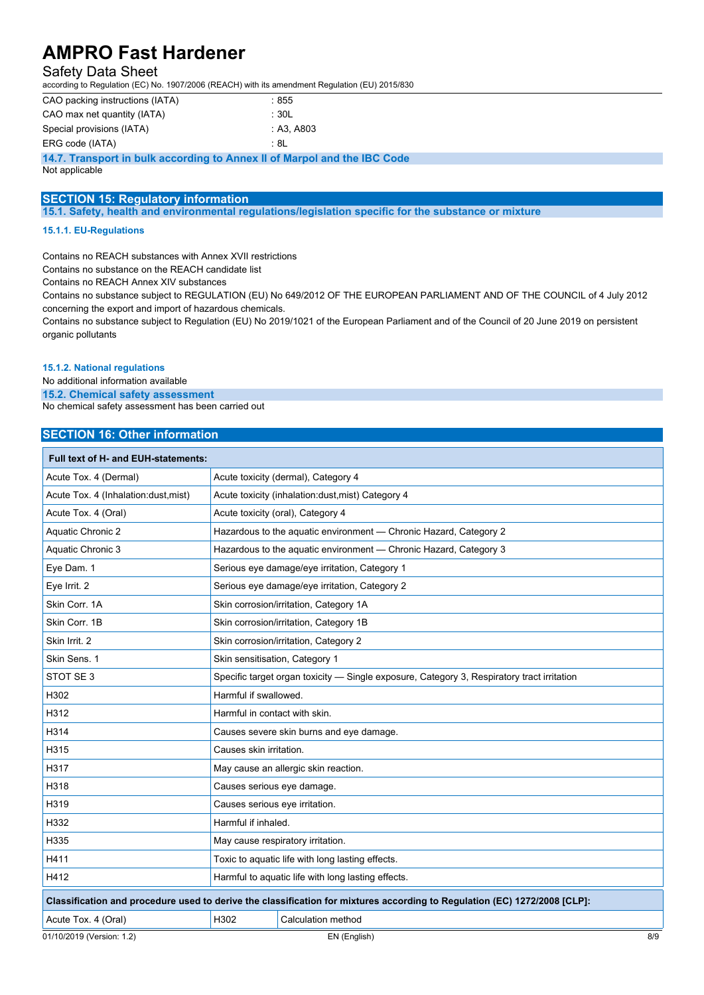### Safety Data Sheet

according to Regulation (EC) No. 1907/2006 (REACH) with its amendment Regulation (EU) 2015/830

| CAO packing instructions (IATA) | : 855      |
|---------------------------------|------------|
| CAO max net quantity (IATA)     | ∴ 30L      |
| Special provisions (IATA)       | : A3. A803 |
| ERG code (IATA)                 | : 8L       |

**14.7. Transport in bulk according to Annex II of Marpol and the IBC Code**

Not applicable

### **SECTION 15: Regulatory information**

**15.1. Safety, health and environmental regulations/legislation specific for the substance or mixture**

#### **15.1.1. EU-Regulations**

Contains no REACH substances with Annex XVII restrictions

Contains no substance on the REACH candidate list

Contains no REACH Annex XIV substances

Contains no substance subject to REGULATION (EU) No 649/2012 OF THE EUROPEAN PARLIAMENT AND OF THE COUNCIL of 4 July 2012 concerning the export and import of hazardous chemicals.

Contains no substance subject to Regulation (EU) No 2019/1021 of the European Parliament and of the Council of 20 June 2019 on persistent organic pollutants

#### **15.1.2. National regulations**

No additional information available

**15.2. Chemical safety assessment**

No chemical safety assessment has been carried out

### **SECTION 16: Other information**

| <b>Full text of H- and EUH-statements:</b>                                                                                |                                                                                            |                    |     |  |
|---------------------------------------------------------------------------------------------------------------------------|--------------------------------------------------------------------------------------------|--------------------|-----|--|
| Acute Tox. 4 (Dermal)                                                                                                     | Acute toxicity (dermal), Category 4                                                        |                    |     |  |
| Acute Tox. 4 (Inhalation:dust.mist)                                                                                       | Acute toxicity (inhalation: dust, mist) Category 4                                         |                    |     |  |
| Acute Tox. 4 (Oral)                                                                                                       | Acute toxicity (oral), Category 4                                                          |                    |     |  |
| <b>Aquatic Chronic 2</b>                                                                                                  | Hazardous to the aquatic environment - Chronic Hazard, Category 2                          |                    |     |  |
| Aquatic Chronic 3                                                                                                         | Hazardous to the aquatic environment - Chronic Hazard, Category 3                          |                    |     |  |
| Eve Dam. 1                                                                                                                | Serious eye damage/eye irritation, Category 1                                              |                    |     |  |
| Eye Irrit. 2                                                                                                              | Serious eye damage/eye irritation, Category 2                                              |                    |     |  |
| Skin Corr. 1A                                                                                                             | Skin corrosion/irritation, Category 1A                                                     |                    |     |  |
| Skin Corr. 1B                                                                                                             | Skin corrosion/irritation, Category 1B                                                     |                    |     |  |
| Skin Irrit. 2                                                                                                             | Skin corrosion/irritation, Category 2                                                      |                    |     |  |
| Skin Sens. 1                                                                                                              | Skin sensitisation, Category 1                                                             |                    |     |  |
| STOT SE <sub>3</sub>                                                                                                      | Specific target organ toxicity - Single exposure, Category 3, Respiratory tract irritation |                    |     |  |
| H302                                                                                                                      | Harmful if swallowed.                                                                      |                    |     |  |
| H312                                                                                                                      | Harmful in contact with skin.                                                              |                    |     |  |
| H314                                                                                                                      | Causes severe skin burns and eye damage.                                                   |                    |     |  |
| H315                                                                                                                      | Causes skin irritation.                                                                    |                    |     |  |
| H317                                                                                                                      | May cause an allergic skin reaction.                                                       |                    |     |  |
| H318                                                                                                                      | Causes serious eve damage.                                                                 |                    |     |  |
| H319                                                                                                                      | Causes serious eye irritation.                                                             |                    |     |  |
| H332                                                                                                                      | Harmful if inhaled.                                                                        |                    |     |  |
| H335                                                                                                                      | May cause respiratory irritation.                                                          |                    |     |  |
| H411                                                                                                                      | Toxic to aquatic life with long lasting effects.                                           |                    |     |  |
| H412                                                                                                                      | Harmful to aquatic life with long lasting effects.                                         |                    |     |  |
| Classification and procedure used to derive the classification for mixtures according to Regulation (EC) 1272/2008 [CLP]: |                                                                                            |                    |     |  |
| Acute Tox. 4 (Oral)                                                                                                       | H302                                                                                       | Calculation method |     |  |
| 01/10/2019 (Version: 1.2)                                                                                                 |                                                                                            | EN (English)       | 8/9 |  |